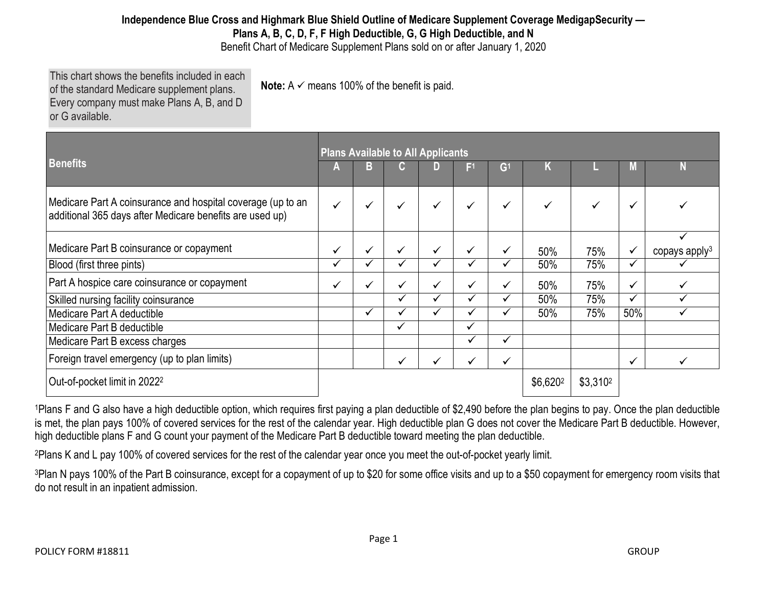#### **Independence Blue Cross and Highmark Blue Shield Outline of Medicare Supplement Coverage MedigapSecurity — Plans A, B, C, D, F, F High Deductible, G, G High Deductible, and N**

Benefit Chart of Medicare Supplement Plans sold on or after January 1, 2020

This chart shows the benefits included in each of the standard Medicare supplement plans. Every company must make Plans A, B, and D or G available.

**Note:**  $A \n\checkmark$  means 100% of the benefit is paid.

|                                                                                                                         | <b>Plans Available to All Applicants</b> |  |   |   |   |   |                      |            |     |                           |
|-------------------------------------------------------------------------------------------------------------------------|------------------------------------------|--|---|---|---|---|----------------------|------------|-----|---------------------------|
| <b>Benefits</b>                                                                                                         | A                                        |  |   |   | ы | G |                      |            | M   |                           |
| Medicare Part A coinsurance and hospital coverage (up to an<br>additional 365 days after Medicare benefits are used up) | $\checkmark$                             |  | ✓ | ✓ | ✓ | ✓ | ✓                    |            |     |                           |
| Medicare Part B coinsurance or copayment                                                                                | $\checkmark$                             |  |   |   |   | ✓ | 50%                  | 75%        | ✓   | copays apply <sup>3</sup> |
| Blood (first three pints)                                                                                               | ✓                                        |  |   |   |   |   | 50%                  | 75%        |     |                           |
| Part A hospice care coinsurance or copayment                                                                            | ✓                                        |  |   |   |   | ✓ | 50%                  | 75%        | ✓   |                           |
| <b>Skilled nursing facility coinsurance</b>                                                                             |                                          |  |   |   |   |   | 50%                  | 75%        |     |                           |
| Medicare Part A deductible                                                                                              |                                          |  |   |   | ✓ |   | 50%                  | 75%        | 50% |                           |
| Medicare Part B deductible                                                                                              |                                          |  | ✓ |   | ✓ |   |                      |            |     |                           |
| Medicare Part B excess charges                                                                                          |                                          |  |   |   |   |   |                      |            |     |                           |
| Foreign travel emergency (up to plan limits)                                                                            |                                          |  |   |   |   | ✓ |                      |            | ✓   |                           |
| Out-of-pocket limit in 2022 <sup>2</sup>                                                                                |                                          |  |   |   |   |   | \$6,620 <sup>2</sup> | $$3,310^2$ |     |                           |

1Plans F and G also have a high deductible option, which requires first paying a plan deductible of \$2,490 before the plan begins to pay. Once the plan deductible is met, the plan pays 100% of covered services for the rest of the calendar year. High deductible plan G does not cover the Medicare Part B deductible. However, high deductible plans F and G count your payment of the Medicare Part B deductible toward meeting the plan deductible.

2Plans K and L pay 100% of covered services for the rest of the calendar year once you meet the out-of-pocket yearly limit.

3Plan N pays 100% of the Part B coinsurance, except for a copayment of up to \$20 for some office visits and up to a \$50 copayment for emergency room visits that do not result in an inpatient admission.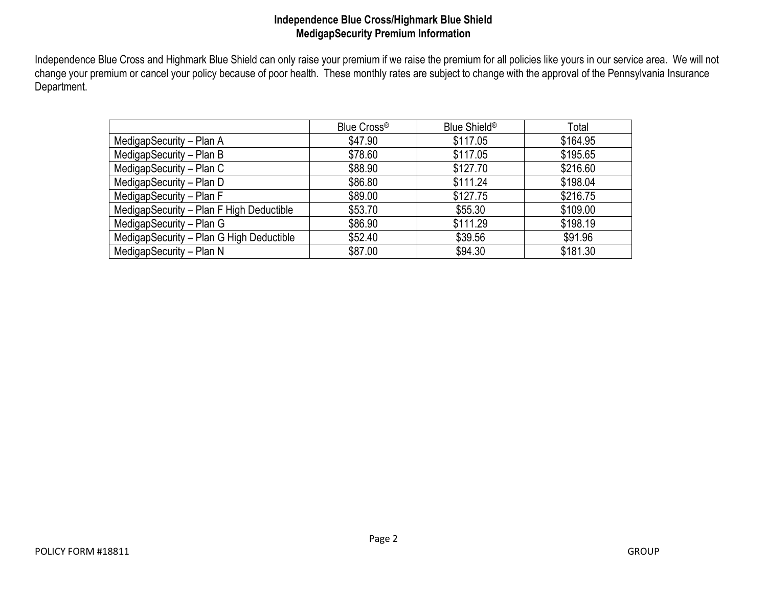#### **Independence Blue Cross/Highmark Blue Shield MedigapSecurity Premium Information**

Independence Blue Cross and Highmark Blue Shield can only raise your premium if we raise the premium for all policies like yours in our service area. We will not change your premium or cancel your policy because of poor health. These monthly rates are subject to change with the approval of the Pennsylvania Insurance Department.

|                                          | Blue Cross <sup>®</sup> | Blue Shield <sup>®</sup> | Total    |
|------------------------------------------|-------------------------|--------------------------|----------|
| MedigapSecurity - Plan A                 | \$47.90                 | \$117.05                 | \$164.95 |
| MedigapSecurity - Plan B                 | \$78.60                 | \$117.05                 | \$195.65 |
| MedigapSecurity - Plan C                 | \$88.90                 | \$127.70                 | \$216.60 |
| MedigapSecurity - Plan D                 | \$86.80                 | \$111.24                 | \$198.04 |
| MedigapSecurity - Plan F                 | \$89.00                 | \$127.75                 | \$216.75 |
| MedigapSecurity - Plan F High Deductible | \$53.70                 | \$55.30                  | \$109.00 |
| MedigapSecurity - Plan G                 | \$86.90                 | \$111.29                 | \$198.19 |
| MedigapSecurity - Plan G High Deductible | \$52.40                 | \$39.56                  | \$91.96  |
| MedigapSecurity - Plan N                 | \$87.00                 | \$94.30                  | \$181.30 |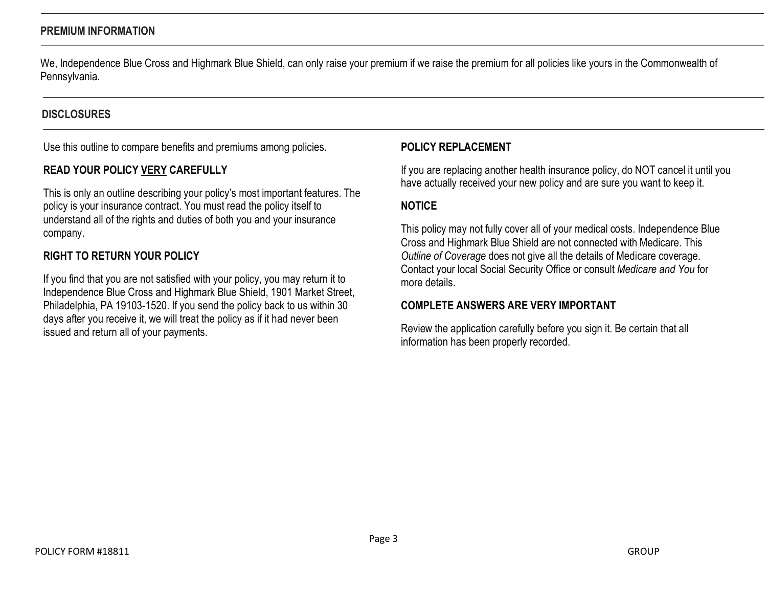#### **PREMIUM INFORMATION**

We, Independence Blue Cross and Highmark Blue Shield, can only raise your premium if we raise the premium for all policies like yours in the Commonwealth of Pennsylvania.

#### **DISCLOSURES**

Use this outline to compare benefits and premiums among policies.

### **READ YOUR POLICY VERY CAREFULLY**

This is only an outline describing your policy's most important features. The policy is your insurance contract. You must read the policy itself to understand all of the rights and duties of both you and your insurance company.

#### **RIGHT TO RETURN YOUR POLICY**

If you find that you are not satisfied with your policy, you may return it to Independence Blue Cross and Highmark Blue Shield, 1901 Market Street, Philadelphia, PA 19103-1520. If you send the policy back to us within 30 days after you receive it, we will treat the policy as if it had never been issued and return all of your payments.

### **POLICY REPLACEMENT**

If you are replacing another health insurance policy, do NOT cancel it until you have actually received your new policy and are sure you want to keep it.

#### **NOTICE**

This policy may not fully cover all of your medical costs. Independence Blue Cross and Highmark Blue Shield are not connected with Medicare. This *Outline of Coverage* does not give all the details of Medicare coverage. Contact your local Social Security Office or consult *Medicare and You* for more details.

#### **COMPLETE ANSWERS ARE VERY IMPORTANT**

Review the application carefully before you sign it. Be certain that all information has been properly recorded.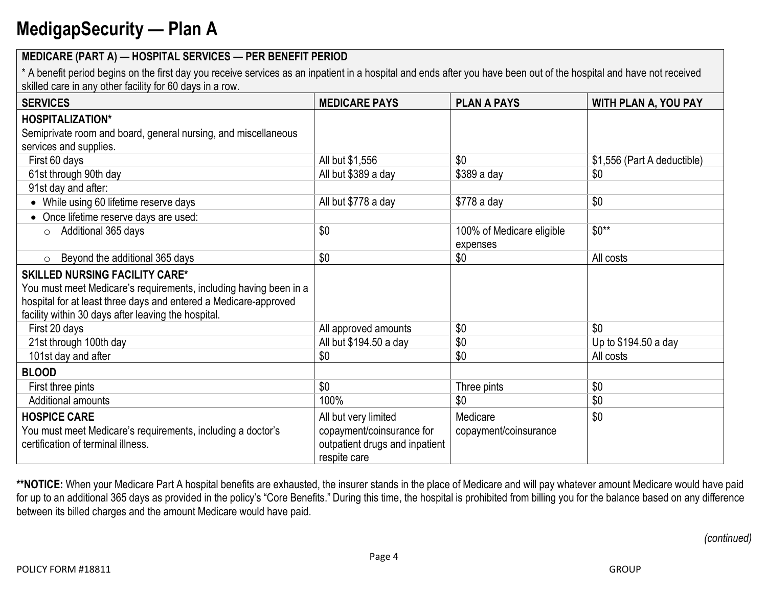# **MedigapSecurity — Plan A**

### **MEDICARE (PART A) — HOSPITAL SERVICES — PER BENEFIT PERIOD**

\* A benefit period begins on the first day you receive services as an inpatient in a hospital and ends after you have been out of the hospital and have not received skilled care in any other facility for 60 days in a row.

| <b>SERVICES</b>                                                   | <b>MEDICARE PAYS</b>           | <b>PLAN A PAYS</b>        | WITH PLAN A, YOU PAY        |
|-------------------------------------------------------------------|--------------------------------|---------------------------|-----------------------------|
| <b>HOSPITALIZATION*</b>                                           |                                |                           |                             |
| Semiprivate room and board, general nursing, and miscellaneous    |                                |                           |                             |
| services and supplies.                                            |                                |                           |                             |
| First 60 days                                                     | All but \$1,556                | \$0                       | \$1,556 (Part A deductible) |
| 61st through 90th day                                             | All but \$389 a day            | \$389 a day               | \$0                         |
| 91st day and after:                                               |                                |                           |                             |
| • While using 60 lifetime reserve days                            | All but \$778 a day            | \$778 a day               | \$0                         |
| • Once lifetime reserve days are used:                            |                                |                           |                             |
| Additional 365 days<br>$\circ$                                    | \$0                            | 100% of Medicare eligible | $$0**$                      |
|                                                                   |                                | expenses                  |                             |
| Beyond the additional 365 days<br>$\circ$                         | \$0                            | \$0                       | All costs                   |
| <b>SKILLED NURSING FACILITY CARE*</b>                             |                                |                           |                             |
| You must meet Medicare's requirements, including having been in a |                                |                           |                             |
| hospital for at least three days and entered a Medicare-approved  |                                |                           |                             |
| facility within 30 days after leaving the hospital.               |                                |                           |                             |
| First 20 days                                                     | All approved amounts           | \$0                       | \$0                         |
| 21st through 100th day                                            | All but \$194.50 a day         | \$0                       | Up to \$194.50 a day        |
| 101st day and after                                               | \$0                            | \$0                       | All costs                   |
| <b>BLOOD</b>                                                      |                                |                           |                             |
| First three pints                                                 | \$0                            | Three pints               | \$0                         |
| Additional amounts                                                | 100%                           | \$0                       | \$0                         |
| <b>HOSPICE CARE</b>                                               | All but very limited           | Medicare                  | \$0                         |
| You must meet Medicare's requirements, including a doctor's       | copayment/coinsurance for      | copayment/coinsurance     |                             |
| certification of terminal illness.                                | outpatient drugs and inpatient |                           |                             |
|                                                                   | respite care                   |                           |                             |

\*\*NOTICE: When your Medicare Part A hospital benefits are exhausted, the insurer stands in the place of Medicare and will pay whatever amount Medicare would have paid for up to an additional 365 days as provided in the policy's "Core Benefits." During this time, the hospital is prohibited from billing you for the balance based on any difference between its billed charges and the amount Medicare would have paid.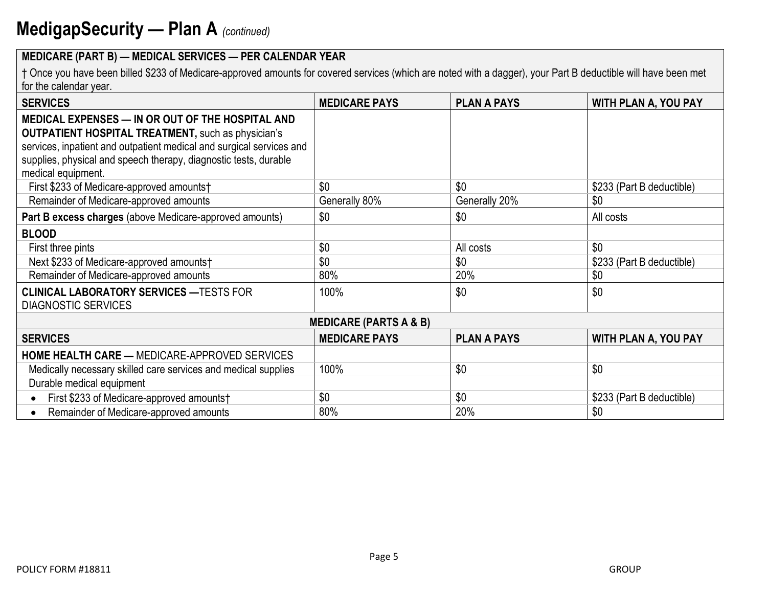## **MedigapSecurity — Plan A** *(continued)*

### **MEDICARE (PART B) — MEDICAL SERVICES — PER CALENDAR YEAR**

| <b>SERVICES</b>                                                                                                                                                                                                                                           | <b>MEDICARE PAYS</b>              | <b>PLAN A PAYS</b> | <b>WITH PLAN A, YOU PAY</b> |
|-----------------------------------------------------------------------------------------------------------------------------------------------------------------------------------------------------------------------------------------------------------|-----------------------------------|--------------------|-----------------------------|
| MEDICAL EXPENSES — IN OR OUT OF THE HOSPITAL AND<br><b>OUTPATIENT HOSPITAL TREATMENT, such as physician's</b><br>services, inpatient and outpatient medical and surgical services and<br>supplies, physical and speech therapy, diagnostic tests, durable |                                   |                    |                             |
| medical equipment.<br>First \$233 of Medicare-approved amounts†                                                                                                                                                                                           | \$0                               | \$0                | \$233 (Part B deductible)   |
| Remainder of Medicare-approved amounts                                                                                                                                                                                                                    | Generally 80%                     | Generally 20%      | \$0                         |
| Part B excess charges (above Medicare-approved amounts)                                                                                                                                                                                                   | \$0                               | \$0                | All costs                   |
| <b>BLOOD</b>                                                                                                                                                                                                                                              |                                   |                    |                             |
| First three pints                                                                                                                                                                                                                                         | \$0                               | All costs          | \$0                         |
| Next \$233 of Medicare-approved amounts†                                                                                                                                                                                                                  | \$0                               | \$0                | \$233 (Part B deductible)   |
| Remainder of Medicare-approved amounts                                                                                                                                                                                                                    | 80%                               | 20%                | \$0                         |
| <b>CLINICAL LABORATORY SERVICES — TESTS FOR</b><br><b>DIAGNOSTIC SERVICES</b>                                                                                                                                                                             | 100%                              | \$0                | \$0                         |
|                                                                                                                                                                                                                                                           | <b>MEDICARE (PARTS A &amp; B)</b> |                    |                             |
| <b>SERVICES</b>                                                                                                                                                                                                                                           | <b>MEDICARE PAYS</b>              | <b>PLAN A PAYS</b> | <b>WITH PLAN A, YOU PAY</b> |
| <b>HOME HEALTH CARE — MEDICARE-APPROVED SERVICES</b>                                                                                                                                                                                                      |                                   |                    |                             |
| Medically necessary skilled care services and medical supplies                                                                                                                                                                                            | 100%                              | \$0                | \$0                         |
| Durable medical equipment                                                                                                                                                                                                                                 |                                   |                    |                             |
| First \$233 of Medicare-approved amounts†<br>$\bullet$                                                                                                                                                                                                    | \$0                               | \$0                | \$233 (Part B deductible)   |
| Remainder of Medicare-approved amounts<br>$\bullet$                                                                                                                                                                                                       | 80%                               | 20%                | \$0                         |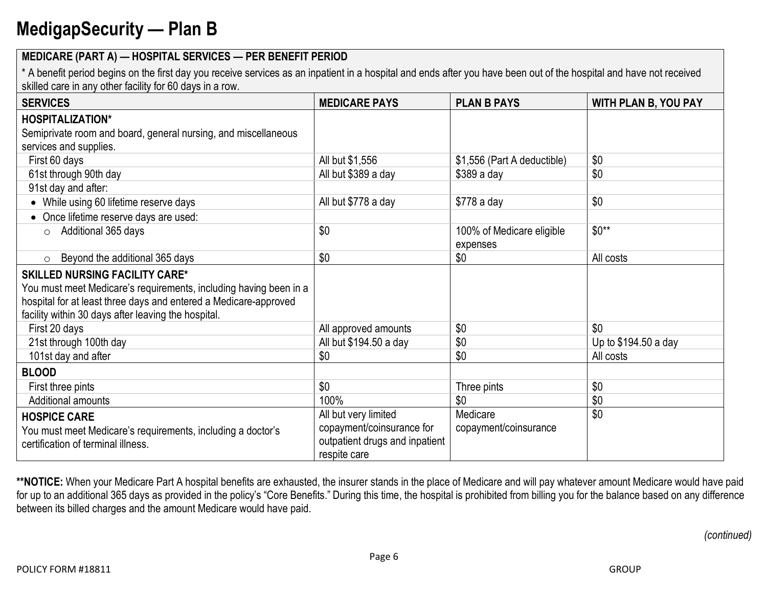# **MedigapSecurity — Plan B**

#### **MEDICARE (PART A) — HOSPITAL SERVICES — PER BENEFIT PERIOD**

\* A benefit period begins on the first day you receive services as an inpatient in a hospital and ends after you have been out of the hospital and have not received skilled care in any other facility for 60 days in a row.

| <b>SERVICES</b>                                                   | <b>MEDICARE PAYS</b>           | <b>PLAN B PAYS</b>          | <b>WITH PLAN B, YOU PAY</b> |
|-------------------------------------------------------------------|--------------------------------|-----------------------------|-----------------------------|
| <b>HOSPITALIZATION*</b>                                           |                                |                             |                             |
| Semiprivate room and board, general nursing, and miscellaneous    |                                |                             |                             |
| services and supplies.                                            |                                |                             |                             |
| First 60 days                                                     | All but \$1,556                | \$1,556 (Part A deductible) | \$0                         |
| 61st through 90th day                                             | All but \$389 a day            | $$389a$ day                 | \$0                         |
| 91st day and after:                                               |                                |                             |                             |
| • While using 60 lifetime reserve days                            | All but \$778 a day            | \$778 a day                 | \$0                         |
| • Once lifetime reserve days are used:                            |                                |                             |                             |
| Additional 365 days<br>$\circ$                                    | \$0                            | 100% of Medicare eligible   | $$0**$                      |
|                                                                   |                                | expenses                    |                             |
| Beyond the additional 365 days<br>$\circ$                         | \$0                            | \$0                         | All costs                   |
| <b>SKILLED NURSING FACILITY CARE*</b>                             |                                |                             |                             |
| You must meet Medicare's requirements, including having been in a |                                |                             |                             |
| hospital for at least three days and entered a Medicare-approved  |                                |                             |                             |
| facility within 30 days after leaving the hospital.               |                                |                             |                             |
| First 20 days                                                     | All approved amounts           | \$0                         | \$0                         |
| 21st through 100th day                                            | All but \$194.50 a day         | \$0                         | Up to \$194.50 a day        |
| 101st day and after                                               | \$0                            | \$0                         | All costs                   |
| <b>BLOOD</b>                                                      |                                |                             |                             |
| First three pints                                                 | \$0                            | Three pints                 | \$0                         |
| Additional amounts                                                | 100%                           | \$0                         | \$0                         |
| <b>HOSPICE CARE</b>                                               | All but very limited           | Medicare                    | \$0                         |
| You must meet Medicare's requirements, including a doctor's       | copayment/coinsurance for      | copayment/coinsurance       |                             |
| certification of terminal illness.                                | outpatient drugs and inpatient |                             |                             |
|                                                                   | respite care                   |                             |                             |

\*\*NOTICE: When your Medicare Part A hospital benefits are exhausted, the insurer stands in the place of Medicare and will pay whatever amount Medicare would have paid for up to an additional 365 days as provided in the policy's "Core Benefits." During this time, the hospital is prohibited from billing you for the balance based on any difference between its billed charges and the amount Medicare would have paid.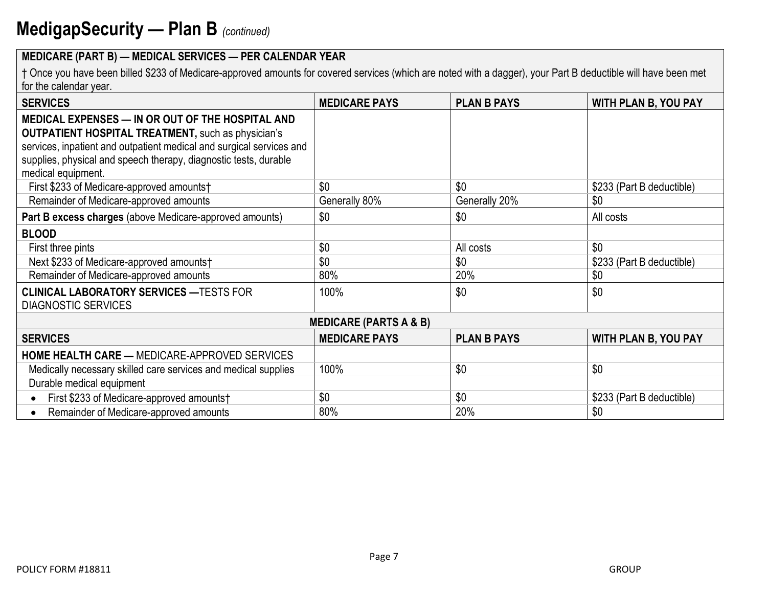## **MedigapSecurity — Plan B** *(continued)*

### **MEDICARE (PART B) — MEDICAL SERVICES — PER CALENDAR YEAR**

| <b>SERVICES</b>                                                                                                                   | <b>MEDICARE PAYS</b>              | <b>PLAN B PAYS</b> | <b>WITH PLAN B, YOU PAY</b> |
|-----------------------------------------------------------------------------------------------------------------------------------|-----------------------------------|--------------------|-----------------------------|
| MEDICAL EXPENSES — IN OR OUT OF THE HOSPITAL AND                                                                                  |                                   |                    |                             |
| <b>OUTPATIENT HOSPITAL TREATMENT, such as physician's</b><br>services, inpatient and outpatient medical and surgical services and |                                   |                    |                             |
| supplies, physical and speech therapy, diagnostic tests, durable                                                                  |                                   |                    |                             |
| medical equipment.                                                                                                                |                                   |                    |                             |
| First \$233 of Medicare-approved amounts†                                                                                         | \$0                               | \$0                | \$233 (Part B deductible)   |
| Remainder of Medicare-approved amounts                                                                                            | Generally 80%                     | Generally 20%      | \$0                         |
| Part B excess charges (above Medicare-approved amounts)                                                                           | \$0                               | \$0                | All costs                   |
| <b>BLOOD</b>                                                                                                                      |                                   |                    |                             |
| First three pints                                                                                                                 | \$0                               | All costs          | \$0                         |
| Next \$233 of Medicare-approved amounts†                                                                                          | \$0                               | \$0                | \$233 (Part B deductible)   |
| Remainder of Medicare-approved amounts                                                                                            | 80%                               | 20%                | \$0                         |
| <b>CLINICAL LABORATORY SERVICES — TESTS FOR</b>                                                                                   | 100%                              | \$0                | \$0                         |
| <b>DIAGNOSTIC SERVICES</b>                                                                                                        |                                   |                    |                             |
|                                                                                                                                   | <b>MEDICARE (PARTS A &amp; B)</b> |                    |                             |
| <b>SERVICES</b>                                                                                                                   | <b>MEDICARE PAYS</b>              | <b>PLAN B PAYS</b> | <b>WITH PLAN B, YOU PAY</b> |
| <b>HOME HEALTH CARE — MEDICARE-APPROVED SERVICES</b>                                                                              |                                   |                    |                             |
| Medically necessary skilled care services and medical supplies                                                                    | 100%                              | \$0                | \$0                         |
| Durable medical equipment                                                                                                         |                                   |                    |                             |
| First \$233 of Medicare-approved amounts†<br>$\bullet$                                                                            | \$0                               | \$0                | \$233 (Part B deductible)   |
| Remainder of Medicare-approved amounts<br>$\bullet$                                                                               | 80%                               | 20%                | \$0                         |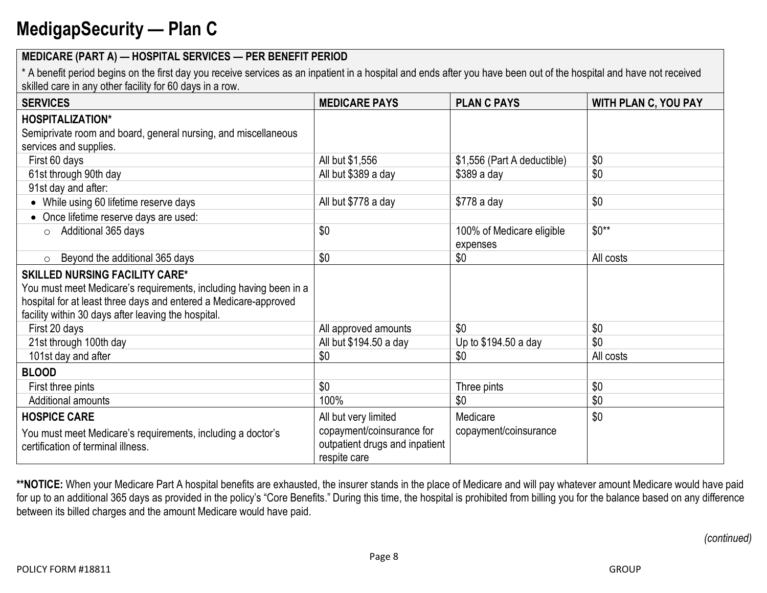# **MedigapSecurity — Plan C**

#### **MEDICARE (PART A) — HOSPITAL SERVICES — PER BENEFIT PERIOD**

\* A benefit period begins on the first day you receive services as an inpatient in a hospital and ends after you have been out of the hospital and have not received skilled care in any other facility for 60 days in a row.

| <b>SERVICES</b>                                                   | <b>MEDICARE PAYS</b>           | <b>PLAN C PAYS</b>          | <b>WITH PLAN C, YOU PAY</b> |
|-------------------------------------------------------------------|--------------------------------|-----------------------------|-----------------------------|
| <b>HOSPITALIZATION*</b>                                           |                                |                             |                             |
| Semiprivate room and board, general nursing, and miscellaneous    |                                |                             |                             |
| services and supplies.                                            |                                |                             |                             |
| First 60 days                                                     | All but \$1,556                | \$1,556 (Part A deductible) | \$0                         |
| 61st through 90th day                                             | All but \$389 a day            | $$389a$ day                 | \$0                         |
| 91st day and after:                                               |                                |                             |                             |
| • While using 60 lifetime reserve days                            | All but \$778 a day            | \$778 a day                 | \$0                         |
| • Once lifetime reserve days are used:                            |                                |                             |                             |
| Additional 365 days<br>$\circ$                                    | \$0                            | 100% of Medicare eligible   | $$0**$                      |
|                                                                   |                                | expenses                    |                             |
| Beyond the additional 365 days<br>$\circ$                         | \$0                            | \$0                         | All costs                   |
| <b>SKILLED NURSING FACILITY CARE*</b>                             |                                |                             |                             |
| You must meet Medicare's requirements, including having been in a |                                |                             |                             |
| hospital for at least three days and entered a Medicare-approved  |                                |                             |                             |
| facility within 30 days after leaving the hospital.               |                                |                             |                             |
| First 20 days                                                     | All approved amounts           | \$0                         | \$0                         |
| 21st through 100th day                                            | All but \$194.50 a day         | Up to \$194.50 a day        | \$0                         |
| 101st day and after                                               | \$0                            | \$0                         | All costs                   |
| <b>BLOOD</b>                                                      |                                |                             |                             |
| First three pints                                                 | \$0                            | Three pints                 | \$0                         |
| Additional amounts                                                | 100%                           | \$0                         | \$0                         |
| <b>HOSPICE CARE</b>                                               | All but very limited           | Medicare                    | \$0                         |
| You must meet Medicare's requirements, including a doctor's       | copayment/coinsurance for      | copayment/coinsurance       |                             |
| certification of terminal illness.                                | outpatient drugs and inpatient |                             |                             |
|                                                                   | respite care                   |                             |                             |

\*\*NOTICE: When your Medicare Part A hospital benefits are exhausted, the insurer stands in the place of Medicare and will pay whatever amount Medicare would have paid for up to an additional 365 days as provided in the policy's "Core Benefits." During this time, the hospital is prohibited from billing you for the balance based on any difference between its billed charges and the amount Medicare would have paid.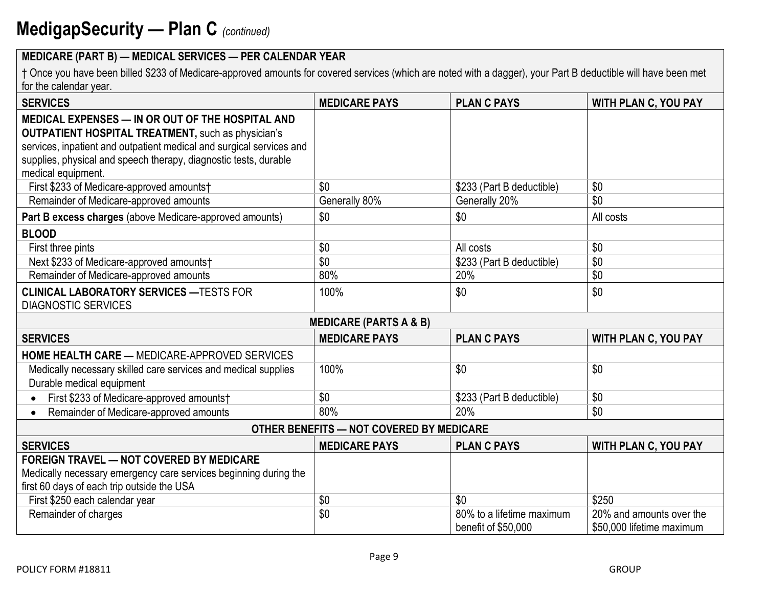## **MedigapSecurity — Plan C** *(continued)*

## **MEDICARE (PART B) — MEDICAL SERVICES — PER CALENDAR YEAR**

| <b>SERVICES</b>                                                      | <b>MEDICARE PAYS</b>                     | <b>PLAN C PAYS</b>        | <b>WITH PLAN C, YOU PAY</b> |
|----------------------------------------------------------------------|------------------------------------------|---------------------------|-----------------------------|
| MEDICAL EXPENSES - IN OR OUT OF THE HOSPITAL AND                     |                                          |                           |                             |
| <b>OUTPATIENT HOSPITAL TREATMENT, such as physician's</b>            |                                          |                           |                             |
| services, inpatient and outpatient medical and surgical services and |                                          |                           |                             |
| supplies, physical and speech therapy, diagnostic tests, durable     |                                          |                           |                             |
| medical equipment.                                                   |                                          |                           |                             |
| First \$233 of Medicare-approved amounts†                            | \$0                                      | \$233 (Part B deductible) | \$0                         |
| Remainder of Medicare-approved amounts                               | Generally 80%                            | Generally 20%             | \$0                         |
| Part B excess charges (above Medicare-approved amounts)              | \$0                                      | \$0                       | All costs                   |
| <b>BLOOD</b>                                                         |                                          |                           |                             |
| First three pints                                                    | \$0                                      | All costs                 | \$0                         |
| Next \$233 of Medicare-approved amounts†                             | \$0                                      | \$233 (Part B deductible) | \$0                         |
| Remainder of Medicare-approved amounts                               | 80%                                      | 20%                       | \$0                         |
| <b>CLINICAL LABORATORY SERVICES - TESTS FOR</b>                      | 100%                                     | \$0                       | \$0                         |
| <b>DIAGNOSTIC SERVICES</b>                                           |                                          |                           |                             |
|                                                                      | <b>MEDICARE (PARTS A &amp; B)</b>        |                           |                             |
| <b>SERVICES</b>                                                      | <b>MEDICARE PAYS</b>                     | <b>PLAN C PAYS</b>        | <b>WITH PLAN C, YOU PAY</b> |
| <b>HOME HEALTH CARE - MEDICARE-APPROVED SERVICES</b>                 |                                          |                           |                             |
| Medically necessary skilled care services and medical supplies       | 100%                                     | \$0                       | \$0                         |
| Durable medical equipment                                            |                                          |                           |                             |
| First \$233 of Medicare-approved amounts†<br>$\bullet$               | \$0                                      | \$233 (Part B deductible) | \$0                         |
| Remainder of Medicare-approved amounts<br>$\bullet$                  | 80%                                      | 20%                       | \$0                         |
|                                                                      | OTHER BENEFITS - NOT COVERED BY MEDICARE |                           |                             |
| <b>SERVICES</b>                                                      | <b>MEDICARE PAYS</b>                     | <b>PLAN C PAYS</b>        | <b>WITH PLAN C, YOU PAY</b> |
| <b>FOREIGN TRAVEL - NOT COVERED BY MEDICARE</b>                      |                                          |                           |                             |
| Medically necessary emergency care services beginning during the     |                                          |                           |                             |
| first 60 days of each trip outside the USA                           |                                          |                           |                             |
| First \$250 each calendar year                                       | \$0                                      | \$0                       | \$250                       |
| Remainder of charges                                                 | \$0                                      | 80% to a lifetime maximum | 20% and amounts over the    |
|                                                                      |                                          | benefit of \$50,000       | \$50,000 lifetime maximum   |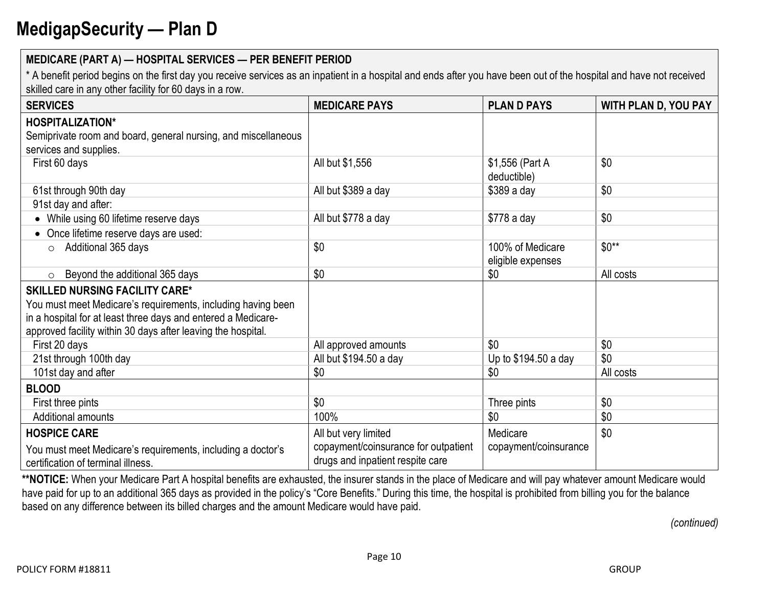## **MedigapSecurity — Plan D**

### **MEDICARE (PART A) — HOSPITAL SERVICES — PER BENEFIT PERIOD**

\* A benefit period begins on the first day you receive services as an inpatient in a hospital and ends after you have been out of the hospital and have not received skilled care in any other facility for 60 days in a row.

| <b>SERVICES</b>                                                                                   | <b>MEDICARE PAYS</b>                                                     | <b>PLAND PAYS</b>              | WITH PLAN D, YOU PAY |
|---------------------------------------------------------------------------------------------------|--------------------------------------------------------------------------|--------------------------------|----------------------|
| <b>HOSPITALIZATION*</b>                                                                           |                                                                          |                                |                      |
| Semiprivate room and board, general nursing, and miscellaneous                                    |                                                                          |                                |                      |
| services and supplies.                                                                            |                                                                          |                                |                      |
| First 60 days                                                                                     | All but \$1,556                                                          | \$1,556 (Part A<br>deductible) | \$0                  |
| 61st through 90th day                                                                             | All but \$389 a day                                                      | $$389a$ day                    | \$0                  |
| 91st day and after:                                                                               |                                                                          |                                |                      |
| While using 60 lifetime reserve days                                                              | All but \$778 a day                                                      | \$778 a day                    | \$0                  |
| Once lifetime reserve days are used:                                                              |                                                                          |                                |                      |
| Additional 365 days<br>$\circ$                                                                    | \$0                                                                      | 100% of Medicare               | $$0**$               |
|                                                                                                   |                                                                          | eligible expenses              |                      |
| Beyond the additional 365 days<br>$\circ$                                                         | \$0                                                                      | \$0                            | All costs            |
| <b>SKILLED NURSING FACILITY CARE*</b>                                                             |                                                                          |                                |                      |
| You must meet Medicare's requirements, including having been                                      |                                                                          |                                |                      |
| in a hospital for at least three days and entered a Medicare-                                     |                                                                          |                                |                      |
| approved facility within 30 days after leaving the hospital.                                      |                                                                          |                                |                      |
| First 20 days                                                                                     | All approved amounts                                                     | \$0                            | \$0                  |
| 21st through 100th day                                                                            | All but \$194.50 a day                                                   | Up to \$194.50 a day           | \$0                  |
| 101st day and after                                                                               | \$0                                                                      | \$0                            | All costs            |
| <b>BLOOD</b>                                                                                      |                                                                          |                                |                      |
| First three pints                                                                                 | \$0                                                                      | Three pints                    | \$0                  |
| Additional amounts                                                                                | 100%                                                                     | \$0                            | \$0                  |
| <b>HOSPICE CARE</b>                                                                               | All but very limited                                                     | Medicare                       | \$0                  |
| You must meet Medicare's requirements, including a doctor's<br>certification of terminal illness. | copayment/coinsurance for outpatient<br>drugs and inpatient respite care | copayment/coinsurance          |                      |

\*\*NOTICE: When your Medicare Part A hospital benefits are exhausted, the insurer stands in the place of Medicare and will pay whatever amount Medicare would have paid for up to an additional 365 days as provided in the policy's "Core Benefits." During this time, the hospital is prohibited from billing you for the balance based on any difference between its billed charges and the amount Medicare would have paid.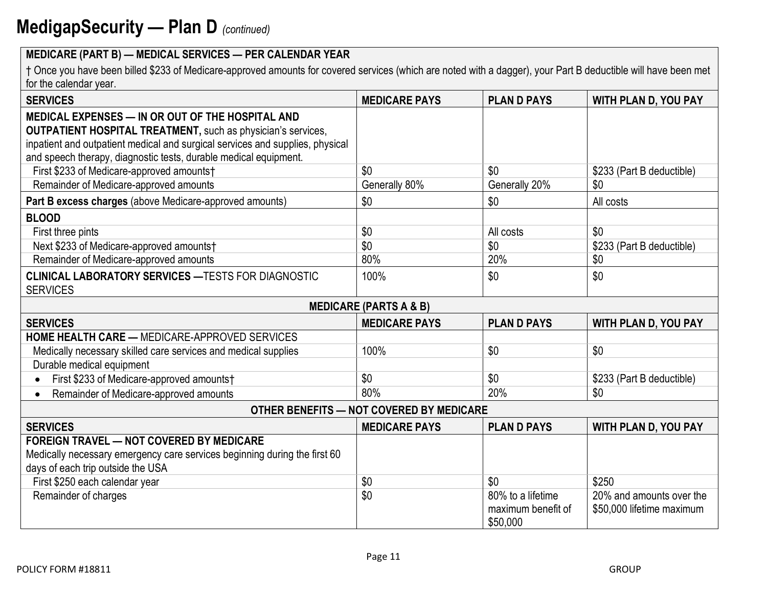## **MedigapSecurity — Plan D** *(continued)*

## **MEDICARE (PART B) — MEDICAL SERVICES — PER CALENDAR YEAR**

| <b>SERVICES</b>                                                                                                                                                                                                                                                              | <b>MEDICARE PAYS</b>                     | <b>PLAND PAYS</b>                                   | <b>WITH PLAN D, YOU PAY</b>                           |
|------------------------------------------------------------------------------------------------------------------------------------------------------------------------------------------------------------------------------------------------------------------------------|------------------------------------------|-----------------------------------------------------|-------------------------------------------------------|
| MEDICAL EXPENSES - IN OR OUT OF THE HOSPITAL AND<br><b>OUTPATIENT HOSPITAL TREATMENT, such as physician's services,</b><br>inpatient and outpatient medical and surgical services and supplies, physical<br>and speech therapy, diagnostic tests, durable medical equipment. |                                          |                                                     |                                                       |
| First \$233 of Medicare-approved amounts†                                                                                                                                                                                                                                    | \$0                                      | \$0                                                 | \$233 (Part B deductible)                             |
| Remainder of Medicare-approved amounts                                                                                                                                                                                                                                       | Generally 80%                            | Generally 20%                                       | \$0                                                   |
| Part B excess charges (above Medicare-approved amounts)                                                                                                                                                                                                                      | \$0                                      | \$0                                                 | All costs                                             |
| <b>BLOOD</b>                                                                                                                                                                                                                                                                 |                                          |                                                     |                                                       |
| First three pints                                                                                                                                                                                                                                                            | \$0                                      | All costs                                           | \$0                                                   |
| Next \$233 of Medicare-approved amounts†                                                                                                                                                                                                                                     | \$0                                      | \$0                                                 | \$233 (Part B deductible)                             |
| Remainder of Medicare-approved amounts                                                                                                                                                                                                                                       | 80%                                      | 20%                                                 | \$0                                                   |
| <b>CLINICAL LABORATORY SERVICES - TESTS FOR DIAGNOSTIC</b><br><b>SERVICES</b>                                                                                                                                                                                                | 100%                                     | \$0                                                 | \$0                                                   |
|                                                                                                                                                                                                                                                                              | <b>MEDICARE (PARTS A &amp; B)</b>        |                                                     |                                                       |
| <b>SERVICES</b>                                                                                                                                                                                                                                                              | <b>MEDICARE PAYS</b>                     | <b>PLAND PAYS</b>                                   | <b>WITH PLAN D, YOU PAY</b>                           |
| HOME HEALTH CARE - MEDICARE-APPROVED SERVICES                                                                                                                                                                                                                                |                                          |                                                     |                                                       |
| Medically necessary skilled care services and medical supplies                                                                                                                                                                                                               | 100%                                     | \$0                                                 | \$0                                                   |
| Durable medical equipment                                                                                                                                                                                                                                                    |                                          |                                                     |                                                       |
| First \$233 of Medicare-approved amounts†                                                                                                                                                                                                                                    | \$0                                      | \$0                                                 | \$233 (Part B deductible)                             |
| Remainder of Medicare-approved amounts                                                                                                                                                                                                                                       | 80%                                      | 20%                                                 | \$0                                                   |
|                                                                                                                                                                                                                                                                              | OTHER BENEFITS - NOT COVERED BY MEDICARE |                                                     |                                                       |
| <b>SERVICES</b>                                                                                                                                                                                                                                                              | <b>MEDICARE PAYS</b>                     | <b>PLAND PAYS</b>                                   | WITH PLAN D, YOU PAY                                  |
| <b>FOREIGN TRAVEL - NOT COVERED BY MEDICARE</b><br>Medically necessary emergency care services beginning during the first 60<br>days of each trip outside the USA                                                                                                            |                                          |                                                     |                                                       |
| First \$250 each calendar year                                                                                                                                                                                                                                               | \$0                                      | \$0                                                 | \$250                                                 |
| Remainder of charges                                                                                                                                                                                                                                                         | \$0                                      | 80% to a lifetime<br>maximum benefit of<br>\$50,000 | 20% and amounts over the<br>\$50,000 lifetime maximum |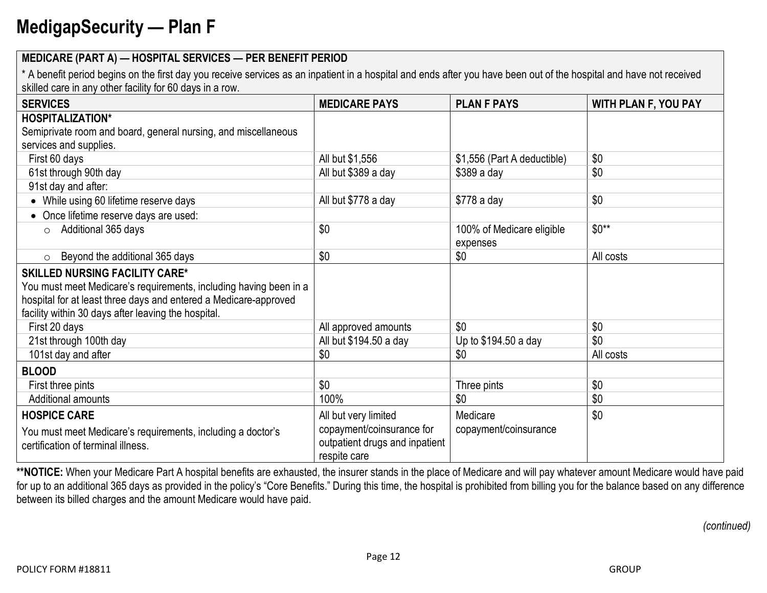## **MedigapSecurity — Plan F**

#### **MEDICARE (PART A) — HOSPITAL SERVICES — PER BENEFIT PERIOD**

\* A benefit period begins on the first day you receive services as an inpatient in a hospital and ends after you have been out of the hospital and have not received skilled care in any other facility for 60 days in a row.

| <b>SERVICES</b>                                                   | <b>MEDICARE PAYS</b>           | <b>PLAN F PAYS</b>          | WITH PLAN F, YOU PAY |
|-------------------------------------------------------------------|--------------------------------|-----------------------------|----------------------|
| <b>HOSPITALIZATION*</b>                                           |                                |                             |                      |
| Semiprivate room and board, general nursing, and miscellaneous    |                                |                             |                      |
| services and supplies.                                            |                                |                             |                      |
| First 60 days                                                     | All but \$1,556                | \$1,556 (Part A deductible) | \$0                  |
| 61st through 90th day                                             | All but \$389 a day            | $$389a$ day                 | \$0                  |
| 91st day and after:                                               |                                |                             |                      |
| • While using 60 lifetime reserve days                            | All but \$778 a day            | $$778a$ day                 | \$0                  |
| • Once lifetime reserve days are used:                            |                                |                             |                      |
| $\circ$ Additional 365 days                                       | \$0                            | 100% of Medicare eligible   | $$0**$$              |
|                                                                   |                                | expenses                    |                      |
| Beyond the additional 365 days<br>$\circ$                         | \$0                            | \$0                         | All costs            |
| <b>SKILLED NURSING FACILITY CARE*</b>                             |                                |                             |                      |
| You must meet Medicare's requirements, including having been in a |                                |                             |                      |
| hospital for at least three days and entered a Medicare-approved  |                                |                             |                      |
| facility within 30 days after leaving the hospital.               |                                |                             |                      |
| First 20 days                                                     | All approved amounts           | \$0                         | \$0                  |
| 21st through 100th day                                            | All but \$194.50 a day         | Up to \$194.50 a day        | \$0                  |
| 101st day and after                                               | \$0                            | \$0                         | All costs            |
| <b>BLOOD</b>                                                      |                                |                             |                      |
| First three pints                                                 | \$0                            | Three pints                 | \$0                  |
| Additional amounts                                                | 100%                           | \$0                         | \$0                  |
| <b>HOSPICE CARE</b>                                               | All but very limited           | Medicare                    | \$0                  |
| You must meet Medicare's requirements, including a doctor's       | copayment/coinsurance for      | copayment/coinsurance       |                      |
| certification of terminal illness.                                | outpatient drugs and inpatient |                             |                      |
|                                                                   | respite care                   |                             |                      |

\*\*NOTICE: When your Medicare Part A hospital benefits are exhausted, the insurer stands in the place of Medicare and will pay whatever amount Medicare would have paid for up to an additional 365 days as provided in the policy's "Core Benefits." During this time, the hospital is prohibited from billing you for the balance based on any difference between its billed charges and the amount Medicare would have paid.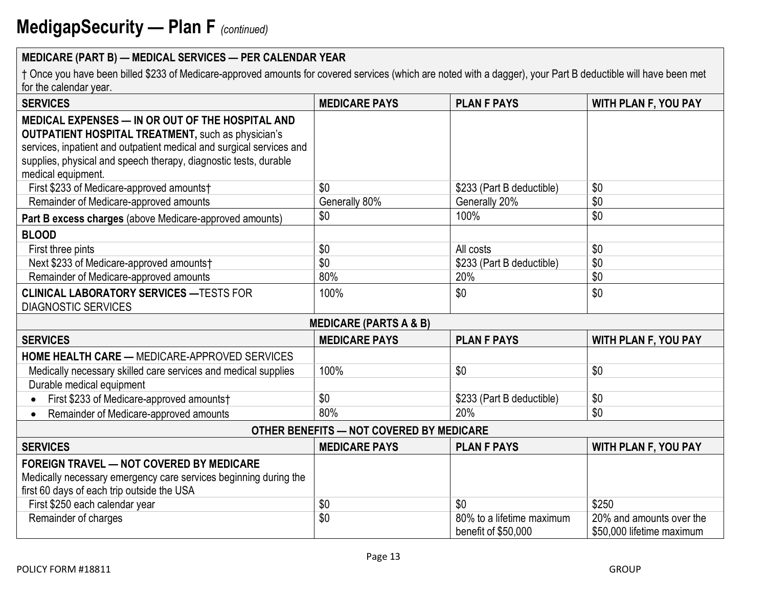### **MEDICARE (PART B) — MEDICAL SERVICES — PER CALENDAR YEAR**

| <b>SERVICES</b>                                                                                                                                                                                                                                                                 | <b>MEDICARE PAYS</b>              | <b>PLAN F PAYS</b>                               | <b>WITH PLAN F, YOU PAY</b>                           |  |  |
|---------------------------------------------------------------------------------------------------------------------------------------------------------------------------------------------------------------------------------------------------------------------------------|-----------------------------------|--------------------------------------------------|-------------------------------------------------------|--|--|
| MEDICAL EXPENSES - IN OR OUT OF THE HOSPITAL AND<br><b>OUTPATIENT HOSPITAL TREATMENT, such as physician's</b><br>services, inpatient and outpatient medical and surgical services and<br>supplies, physical and speech therapy, diagnostic tests, durable<br>medical equipment. |                                   |                                                  |                                                       |  |  |
| First \$233 of Medicare-approved amounts†                                                                                                                                                                                                                                       | \$0                               | \$233 (Part B deductible)                        | \$0                                                   |  |  |
| Remainder of Medicare-approved amounts                                                                                                                                                                                                                                          | Generally 80%                     | Generally 20%                                    | \$0                                                   |  |  |
| Part B excess charges (above Medicare-approved amounts)                                                                                                                                                                                                                         | \$0                               | 100%                                             | \$0                                                   |  |  |
| <b>BLOOD</b>                                                                                                                                                                                                                                                                    |                                   |                                                  |                                                       |  |  |
| First three pints                                                                                                                                                                                                                                                               | \$0                               | All costs                                        | \$0                                                   |  |  |
| Next \$233 of Medicare-approved amounts†                                                                                                                                                                                                                                        | $\overline{50}$                   | \$233 (Part B deductible)                        | $\overline{30}$                                       |  |  |
| Remainder of Medicare-approved amounts                                                                                                                                                                                                                                          | 80%                               | 20%                                              | \$0                                                   |  |  |
| <b>CLINICAL LABORATORY SERVICES - TESTS FOR</b><br><b>DIAGNOSTIC SERVICES</b>                                                                                                                                                                                                   | 100%                              | \$0                                              | \$0                                                   |  |  |
|                                                                                                                                                                                                                                                                                 | <b>MEDICARE (PARTS A &amp; B)</b> |                                                  |                                                       |  |  |
| <b>SERVICES</b>                                                                                                                                                                                                                                                                 | <b>MEDICARE PAYS</b>              | <b>PLAN F PAYS</b>                               | WITH PLAN F, YOU PAY                                  |  |  |
| <b>HOME HEALTH CARE - MEDICARE-APPROVED SERVICES</b>                                                                                                                                                                                                                            |                                   |                                                  |                                                       |  |  |
| Medically necessary skilled care services and medical supplies                                                                                                                                                                                                                  | 100%                              | \$0                                              | \$0                                                   |  |  |
| Durable medical equipment                                                                                                                                                                                                                                                       |                                   |                                                  |                                                       |  |  |
| First \$233 of Medicare-approved amounts†<br>$\bullet$                                                                                                                                                                                                                          | \$0                               | \$233 (Part B deductible)                        | \$0                                                   |  |  |
| Remainder of Medicare-approved amounts<br>$\bullet$                                                                                                                                                                                                                             | 80%                               | 20%                                              | \$0                                                   |  |  |
| OTHER BENEFITS - NOT COVERED BY MEDICARE                                                                                                                                                                                                                                        |                                   |                                                  |                                                       |  |  |
| <b>SERVICES</b>                                                                                                                                                                                                                                                                 | <b>MEDICARE PAYS</b>              | <b>PLAN F PAYS</b>                               | <b>WITH PLAN F, YOU PAY</b>                           |  |  |
| <b>FOREIGN TRAVEL - NOT COVERED BY MEDICARE</b><br>Medically necessary emergency care services beginning during the<br>first 60 days of each trip outside the USA                                                                                                               |                                   |                                                  |                                                       |  |  |
| First \$250 each calendar year                                                                                                                                                                                                                                                  | \$0                               | \$0                                              | \$250                                                 |  |  |
| Remainder of charges                                                                                                                                                                                                                                                            | \$0                               | 80% to a lifetime maximum<br>benefit of \$50,000 | 20% and amounts over the<br>\$50,000 lifetime maximum |  |  |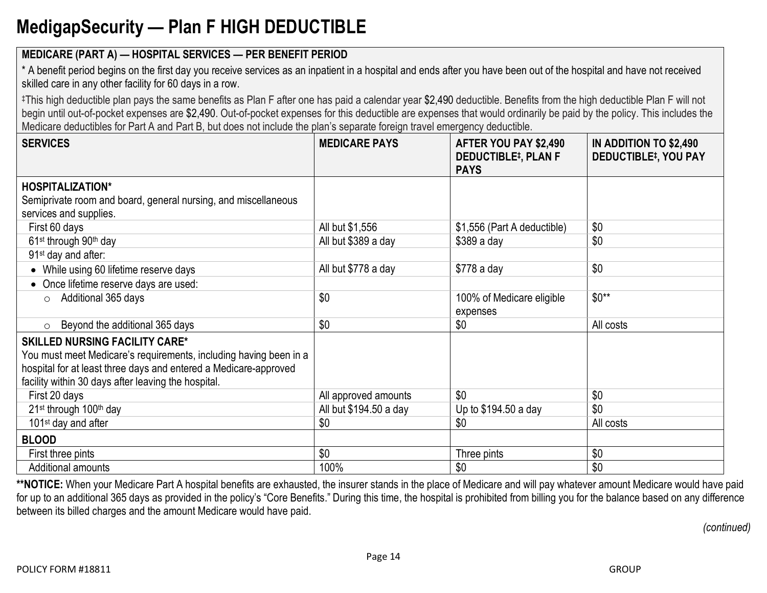# **MedigapSecurity — Plan F HIGH DEDUCTIBLE**

**MEDICARE (PART A) — HOSPITAL SERVICES — PER BENEFIT PERIOD**

#### skilled care in any other facility for 60 days in a row. ‡This high deductible plan pays the same benefits as Plan F after one has paid a calendar year \$2,490 deductible. Benefits from the high deductible Plan F will not begin until out-of-pocket expenses are \$2,490. Out-of-pocket expenses for this deductible are expenses that would ordinarily be paid by the policy. This includes the Medicare deductibles for Part A and Part B, but does not include the plan's separate foreign travel emergency deductible. SERVICES **AFTER YOU PAY \$2,490 DEDUCTIBLE‡, PLAN F PAYS IN ADDITION TO \$2,490 DEDUCTIBLE‡, YOU PAY HOSPITALIZATION\*** Semiprivate room and board, general nursing, and miscellaneous services and supplies. First 60 days **All but \$1,556 1** S1,556 **1** S1,556 **1** S1,556 (Part A deductible) \$0  $61$ <sup>st</sup> through 90<sup>th</sup> day  $\vert$  \$0 91<sup>st</sup> day and after: • While using 60 lifetime reserve days a state of all but \$778 a day state  $\vert$  \$778 a day  $\vert$  \$0 • Once lifetime reserve days are used: o Additional 365 days **100%** of Medicare eligible expenses \$0\*\*  $\circ$  Beyond the additional 365 days  $\vert$  \$0  $\vert$  \$0  $\vert$  \$0  $\vert$  All costs **SKILLED NURSING FACILITY CARE\*** You must meet Medicare's requirements, including having been in a hospital for at least three days and entered a Medicare-approved facility within 30 days after leaving the hospital. First 20 days and the state of the state of the state of the state of the state of the state of the state of the state of the state of the state of the state of the state of the state of the state of the state of the state  $21$ <sup>st</sup> through 100<sup>th</sup> day  $\vert$  30 101<sup>st</sup> day and after **101st** day and after **101st** day and after **101st** day and after **BLOOD** First three pints **the pints**  $\begin{array}{|c|c|c|c|}\hline \text{}}\$0\end{array}$  Three pints  $\begin{array}{|c|c|c|}\hline \text{}}\$0\end{array}$ Additional amounts 100% \$0 \$0

\* A benefit period begins on the first day you receive services as an inpatient in a hospital and ends after you have been out of the hospital and have not received

\*\*NOTICE: When your Medicare Part A hospital benefits are exhausted, the insurer stands in the place of Medicare and will pay whatever amount Medicare would have paid for up to an additional 365 days as provided in the policy's "Core Benefits." During this time, the hospital is prohibited from billing you for the balance based on any difference between its billed charges and the amount Medicare would have paid.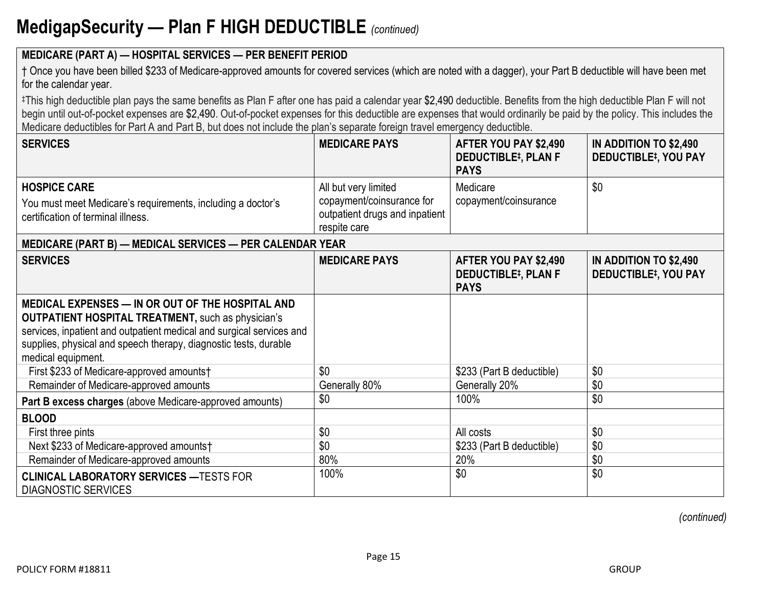# **MedigapSecurity — Plan F HIGH DEDUCTIBLE** *(continued)*

### **MEDICARE (PART A) — HOSPITAL SERVICES — PER BENEFIT PERIOD**

† Once you have been billed \$233 of Medicare-approved amounts for covered services (which are noted with a dagger), your Part B deductible will have been met for the calendar year.

‡This high deductible plan pays the same benefits as Plan F after one has paid a calendar year \$2,490 deductible. Benefits from the high deductible Plan F will not begin until out-of-pocket expenses are \$2,490. Out-of-pocket expenses for this deductible are expenses that would ordinarily be paid by the policy. This includes the Medicare deductibles for Part A and Part B, but does not include the plan's separate foreign travel emergency deductible.

| <b>SERVICES</b>                                                                                   | <b>MEDICARE PAYS</b>                                                        | AFTER YOU PAY \$2,490<br><b>DEDUCTIBLE#, PLAN F</b><br><b>PAYS</b> | IN ADDITION TO \$2,490<br><b>DEDUCTIBLE#, YOU PAY</b> |
|---------------------------------------------------------------------------------------------------|-----------------------------------------------------------------------------|--------------------------------------------------------------------|-------------------------------------------------------|
| <b>HOSPICE CARE</b>                                                                               | All but very limited                                                        | Medicare                                                           | \$0                                                   |
| You must meet Medicare's requirements, including a doctor's<br>certification of terminal illness. | copayment/coinsurance for<br>outpatient drugs and inpatient<br>respite care | copayment/coinsurance                                              |                                                       |
| MEDICARE (PART B) - MEDICAL SERVICES - PER CALENDAR YEAR                                          |                                                                             |                                                                    |                                                       |
| <b>SERVICES</b>                                                                                   | <b>MEDICARE PAYS</b>                                                        | AFTER YOU PAY \$2,490<br><b>DEDUCTIBLE#, PLAN F</b><br><b>PAYS</b> | IN ADDITION TO \$2,490<br><b>DEDUCTIBLE#, YOU PAY</b> |
| MEDICAL EXPENSES — IN OR OUT OF THE HOSPITAL AND                                                  |                                                                             |                                                                    |                                                       |
| <b>OUTPATIENT HOSPITAL TREATMENT, such as physician's</b>                                         |                                                                             |                                                                    |                                                       |
| services, inpatient and outpatient medical and surgical services and                              |                                                                             |                                                                    |                                                       |
| supplies, physical and speech therapy, diagnostic tests, durable<br>medical equipment.            |                                                                             |                                                                    |                                                       |
| First \$233 of Medicare-approved amounts†                                                         | \$0                                                                         | \$233 (Part B deductible)                                          | \$0                                                   |
| Remainder of Medicare-approved amounts                                                            | Generally 80%                                                               | Generally 20%                                                      | \$0                                                   |
| Part B excess charges (above Medicare-approved amounts)                                           | \$0                                                                         | 100%                                                               | \$0                                                   |
| <b>BLOOD</b>                                                                                      |                                                                             |                                                                    |                                                       |
| First three pints                                                                                 | \$0                                                                         | All costs                                                          | \$0                                                   |
| Next \$233 of Medicare-approved amounts†                                                          | \$0                                                                         | \$233 (Part B deductible)                                          | \$0                                                   |
| Remainder of Medicare-approved amounts                                                            | 80%                                                                         | 20%                                                                | \$0                                                   |
| <b>CLINICAL LABORATORY SERVICES - TESTS FOR</b><br><b>DIAGNOSTIC SERVICES</b>                     | 100%                                                                        | \$0                                                                | \$0                                                   |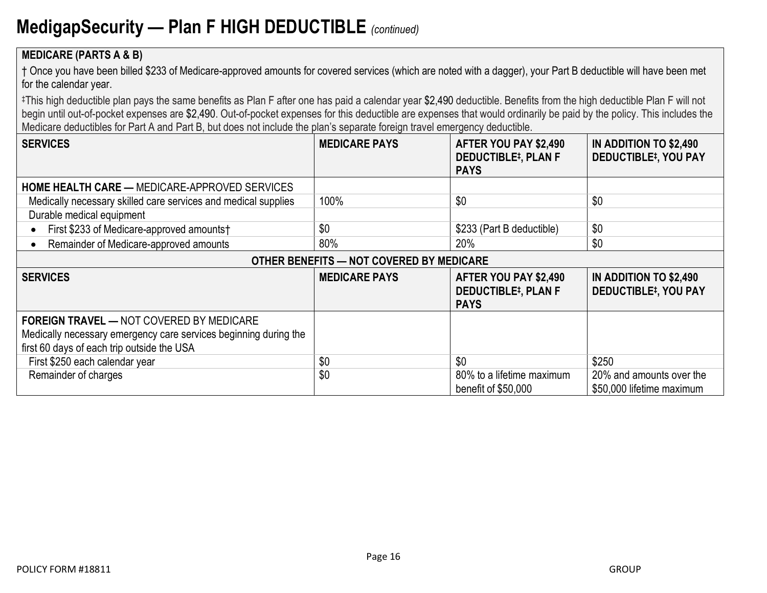# **MedigapSecurity — Plan F HIGH DEDUCTIBLE** *(continued)*

### **MEDICARE (PARTS A & B)**

† Once you have been billed \$233 of Medicare-approved amounts for covered services (which are noted with a dagger), your Part B deductible will have been met for the calendar year.

‡This high deductible plan pays the same benefits as Plan F after one has paid a calendar year \$2,490 deductible. Benefits from the high deductible Plan F will not begin until out-of-pocket expenses are \$2,490. Out-of-pocket expenses for this deductible are expenses that would ordinarily be paid by the policy. This includes the Medicare deductibles for Part A and Part B, but does not include the plan's separate foreign travel emergency deductible.

| <b>SERVICES</b>                                                                                                                                                   | <b>MEDICARE PAYS</b>                     | AFTER YOU PAY \$2,490<br><b>DEDUCTIBLE#, PLAN F</b>                | IN ADDITION TO \$2,490<br><b>DEDUCTIBLE#, YOU PAY</b>            |
|-------------------------------------------------------------------------------------------------------------------------------------------------------------------|------------------------------------------|--------------------------------------------------------------------|------------------------------------------------------------------|
|                                                                                                                                                                   |                                          | <b>PAYS</b>                                                        |                                                                  |
| <b>HOME HEALTH CARE — MEDICARE-APPROVED SERVICES</b>                                                                                                              |                                          |                                                                    |                                                                  |
| Medically necessary skilled care services and medical supplies                                                                                                    | 100%                                     | \$0                                                                | \$0                                                              |
| Durable medical equipment                                                                                                                                         |                                          |                                                                    |                                                                  |
| First \$233 of Medicare-approved amounts†                                                                                                                         | \$0                                      | \$233 (Part B deductible)                                          | \$0                                                              |
| Remainder of Medicare-approved amounts                                                                                                                            | 80%                                      | <b>20%</b>                                                         | \$0                                                              |
|                                                                                                                                                                   | OTHER BENEFITS - NOT COVERED BY MEDICARE |                                                                    |                                                                  |
| <b>SERVICES</b>                                                                                                                                                   | <b>MEDICARE PAYS</b>                     | AFTER YOU PAY \$2,490<br><b>DEDUCTIBLE#, PLAN F</b><br><b>PAYS</b> | IN ADDITION TO \$2,490<br><b>DEDUCTIBLE<sup>‡</sup>, YOU PAY</b> |
| <b>FOREIGN TRAVEL - NOT COVERED BY MEDICARE</b><br>Medically necessary emergency care services beginning during the<br>first 60 days of each trip outside the USA |                                          |                                                                    |                                                                  |
| First \$250 each calendar year                                                                                                                                    | \$0                                      | \$0                                                                | \$250                                                            |
| Remainder of charges                                                                                                                                              | \$0                                      | 80% to a lifetime maximum                                          | 20% and amounts over the                                         |
|                                                                                                                                                                   |                                          |                                                                    |                                                                  |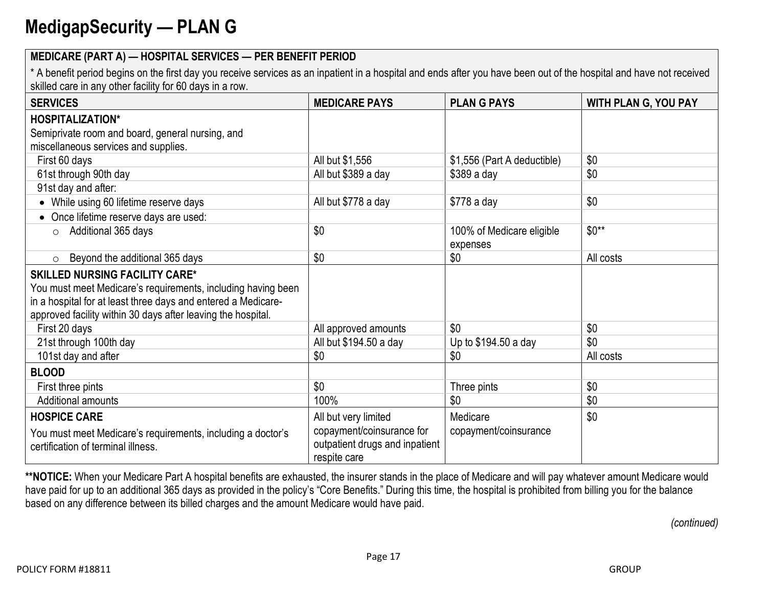# **MedigapSecurity — PLAN G**

### **MEDICARE (PART A) — HOSPITAL SERVICES — PER BENEFIT PERIOD**

\* A benefit period begins on the first day you receive services as an inpatient in a hospital and ends after you have been out of the hospital and have not received skilled care in any other facility for 60 days in a row.

| <b>SERVICES</b>                                                                                                                                                                                                                        | <b>MEDICARE PAYS</b>                                                                                | <b>PLAN G PAYS</b>                    | <b>WITH PLAN G, YOU PAY</b> |
|----------------------------------------------------------------------------------------------------------------------------------------------------------------------------------------------------------------------------------------|-----------------------------------------------------------------------------------------------------|---------------------------------------|-----------------------------|
| <b>HOSPITALIZATION*</b>                                                                                                                                                                                                                |                                                                                                     |                                       |                             |
| Semiprivate room and board, general nursing, and                                                                                                                                                                                       |                                                                                                     |                                       |                             |
| miscellaneous services and supplies.                                                                                                                                                                                                   |                                                                                                     |                                       |                             |
| First 60 days                                                                                                                                                                                                                          | All but \$1,556                                                                                     | \$1,556 (Part A deductible)           | \$0                         |
| 61st through 90th day                                                                                                                                                                                                                  | All but \$389 a day                                                                                 | $$389a$ day                           | \$0                         |
| 91st day and after:                                                                                                                                                                                                                    |                                                                                                     |                                       |                             |
| While using 60 lifetime reserve days                                                                                                                                                                                                   | All but \$778 a day                                                                                 | $$778a$ day                           | \$0                         |
| Once lifetime reserve days are used:                                                                                                                                                                                                   |                                                                                                     |                                       |                             |
| Additional 365 days<br>$\circ$                                                                                                                                                                                                         | \$0                                                                                                 | 100% of Medicare eligible<br>expenses | $$0**$                      |
| Beyond the additional 365 days<br>$\circ$                                                                                                                                                                                              | \$0                                                                                                 | \$0                                   | All costs                   |
| <b>SKILLED NURSING FACILITY CARE*</b><br>You must meet Medicare's requirements, including having been<br>in a hospital for at least three days and entered a Medicare-<br>approved facility within 30 days after leaving the hospital. |                                                                                                     |                                       |                             |
| First 20 days                                                                                                                                                                                                                          | All approved amounts                                                                                | \$0                                   | \$0                         |
| 21st through 100th day                                                                                                                                                                                                                 | All but \$194.50 a day                                                                              | Up to \$194.50 a day                  | \$0                         |
| 101st day and after                                                                                                                                                                                                                    | \$0                                                                                                 | \$0                                   | All costs                   |
| <b>BLOOD</b>                                                                                                                                                                                                                           |                                                                                                     |                                       |                             |
| First three pints                                                                                                                                                                                                                      | \$0                                                                                                 | Three pints                           | \$0                         |
| Additional amounts                                                                                                                                                                                                                     | 100%                                                                                                | \$0                                   | \$0                         |
| <b>HOSPICE CARE</b><br>You must meet Medicare's requirements, including a doctor's<br>certification of terminal illness.                                                                                                               | All but very limited<br>copayment/coinsurance for<br>outpatient drugs and inpatient<br>respite care | Medicare<br>copayment/coinsurance     | \$0                         |

\*\*NOTICE: When your Medicare Part A hospital benefits are exhausted, the insurer stands in the place of Medicare and will pay whatever amount Medicare would have paid for up to an additional 365 days as provided in the policy's "Core Benefits." During this time, the hospital is prohibited from billing you for the balance based on any difference between its billed charges and the amount Medicare would have paid.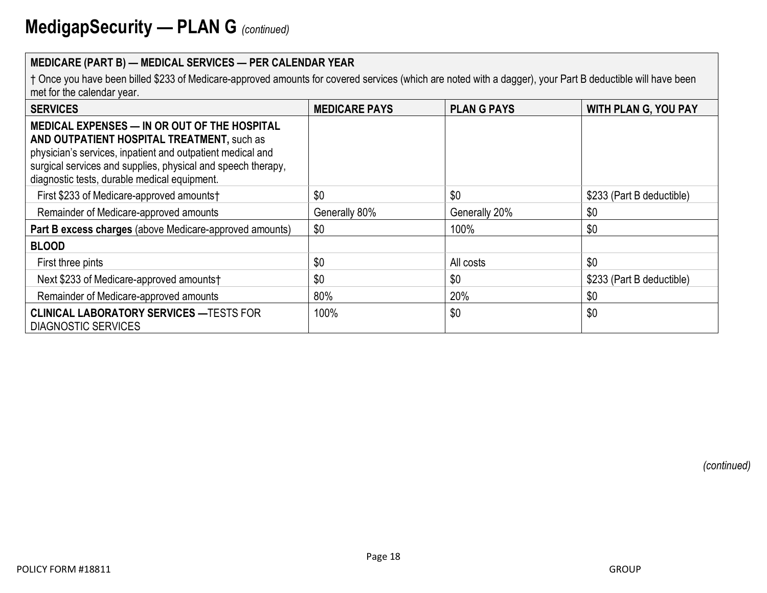### **MEDICARE (PART B) — MEDICAL SERVICES — PER CALENDAR YEAR**

† Once you have been billed \$233 of Medicare-approved amounts for covered services (which are noted with a dagger), your Part B deductible will have been met for the calendar year.

| <b>SERVICES</b>                                                                                                                                                                                                                                                          | <b>MEDICARE PAYS</b> | <b>PLANG PAYS</b> | <b>WITH PLAN G, YOU PAY</b> |
|--------------------------------------------------------------------------------------------------------------------------------------------------------------------------------------------------------------------------------------------------------------------------|----------------------|-------------------|-----------------------------|
| MEDICAL EXPENSES - IN OR OUT OF THE HOSPITAL<br>AND OUTPATIENT HOSPITAL TREATMENT, such as<br>physician's services, inpatient and outpatient medical and<br>surgical services and supplies, physical and speech therapy,<br>diagnostic tests, durable medical equipment. |                      |                   |                             |
| First \$233 of Medicare-approved amounts†                                                                                                                                                                                                                                | \$0                  | \$0               | \$233 (Part B deductible)   |
| Remainder of Medicare-approved amounts                                                                                                                                                                                                                                   | Generally 80%        | Generally 20%     | \$0                         |
| Part B excess charges (above Medicare-approved amounts)                                                                                                                                                                                                                  | \$0                  | 100%              | \$0                         |
| <b>BLOOD</b>                                                                                                                                                                                                                                                             |                      |                   |                             |
| First three pints                                                                                                                                                                                                                                                        | \$0                  | All costs         | \$0                         |
| Next \$233 of Medicare-approved amounts†                                                                                                                                                                                                                                 | \$0                  | \$0               | \$233 (Part B deductible)   |
| Remainder of Medicare-approved amounts                                                                                                                                                                                                                                   | 80%                  | 20%               | \$0                         |
| <b>CLINICAL LABORATORY SERVICES - TESTS FOR</b><br><b>DIAGNOSTIC SERVICES</b>                                                                                                                                                                                            | 100%                 | \$0               | \$0                         |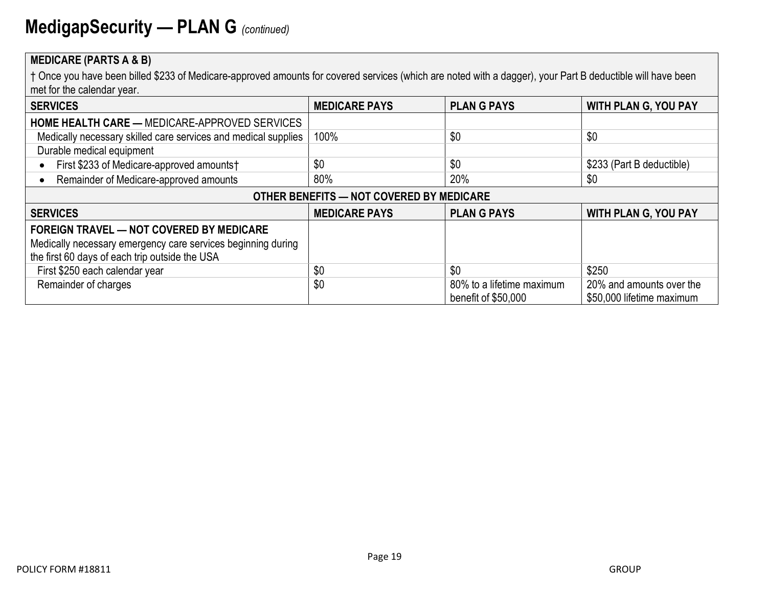## **MEDICARE (PARTS A & B)**

| <b>SERVICES</b>                                                | <b>MEDICARE PAYS</b>                     | <b>PLANG PAYS</b>         | <b>WITH PLAN G, YOU PAY</b> |
|----------------------------------------------------------------|------------------------------------------|---------------------------|-----------------------------|
| <b>HOME HEALTH CARE — MEDICARE-APPROVED SERVICES</b>           |                                          |                           |                             |
| Medically necessary skilled care services and medical supplies | 100%                                     | \$0                       | \$0                         |
| Durable medical equipment                                      |                                          |                           |                             |
| First \$233 of Medicare-approved amounts†                      | \$0                                      | \$0                       | \$233 (Part B deductible)   |
| Remainder of Medicare-approved amounts                         | 80%                                      | 20%                       | \$0                         |
|                                                                | OTHER BENEFITS - NOT COVERED BY MEDICARE |                           |                             |
| <b>SERVICES</b>                                                | <b>MEDICARE PAYS</b>                     | <b>PLANG PAYS</b>         | <b>WITH PLAN G, YOU PAY</b> |
| <b>FOREIGN TRAVEL — NOT COVERED BY MEDICARE</b>                |                                          |                           |                             |
| Medically necessary emergency care services beginning during   |                                          |                           |                             |
| the first 60 days of each trip outside the USA                 |                                          |                           |                             |
| First \$250 each calendar year                                 | \$0                                      | \$0                       | \$250                       |
| Remainder of charges                                           | \$0                                      | 80% to a lifetime maximum | 20% and amounts over the    |
|                                                                |                                          | benefit of \$50,000       | \$50,000 lifetime maximum   |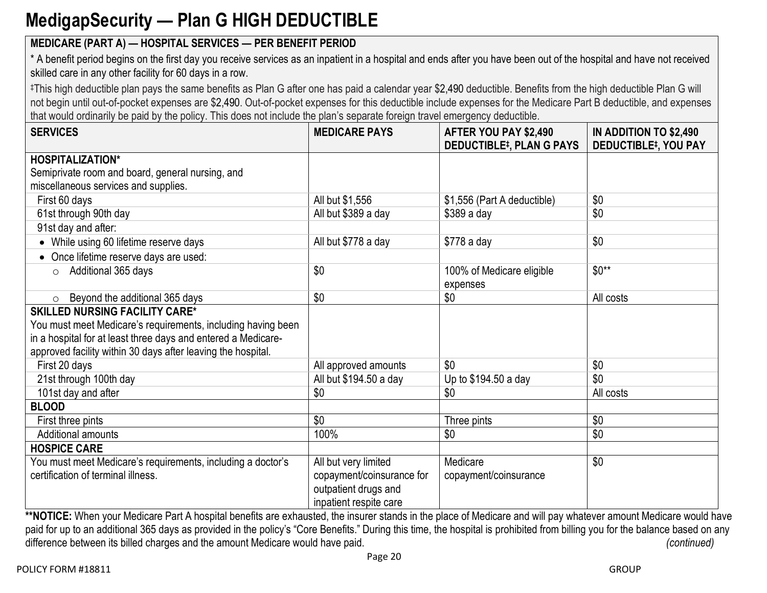# **MedigapSecurity — Plan G HIGH DEDUCTIBLE**

## **MEDICARE (PART A) — HOSPITAL SERVICES — PER BENEFIT PERIOD**

\* A benefit period begins on the first day you receive services as an inpatient in a hospital and ends after you have been out of the hospital and have not received skilled care in any other facility for 60 days in a row.

‡This high deductible plan pays the same benefits as Plan G after one has paid a calendar year \$2,490 deductible. Benefits from the high deductible Plan G will not begin until out-of-pocket expenses are \$2,490. Out-of-pocket expenses for this deductible include expenses for the Medicare Part B deductible, and expenses that would ordinarily be paid by the policy. This does not include the plan's separate foreign travel emergency deductible.

| <b>SERVICES</b>                                               | <b>MEDICARE PAYS</b>      | AFTER YOU PAY \$2,490<br><b>DEDUCTIBLE#, PLAN G PAYS</b> | IN ADDITION TO \$2,490<br><b>DEDUCTIBLE#, YOU PAY</b> |
|---------------------------------------------------------------|---------------------------|----------------------------------------------------------|-------------------------------------------------------|
| <b>HOSPITALIZATION*</b>                                       |                           |                                                          |                                                       |
| Semiprivate room and board, general nursing, and              |                           |                                                          |                                                       |
| miscellaneous services and supplies.                          |                           |                                                          |                                                       |
| First 60 days                                                 | All but \$1,556           | \$1,556 (Part A deductible)                              | \$0                                                   |
| 61st through 90th day                                         | All but \$389 a day       | \$389 a day                                              | \$0                                                   |
| 91st day and after:                                           |                           |                                                          |                                                       |
| While using 60 lifetime reserve days                          | All but \$778 a day       | \$778 a day                                              | \$0                                                   |
| Once lifetime reserve days are used:                          |                           |                                                          |                                                       |
| Additional 365 days<br>$\circ$                                | \$0                       | 100% of Medicare eligible                                | $$0**$                                                |
|                                                               |                           | expenses                                                 |                                                       |
| Beyond the additional 365 days<br>$\circ$                     | \$0                       | \$0                                                      | All costs                                             |
| <b>SKILLED NURSING FACILITY CARE*</b>                         |                           |                                                          |                                                       |
| You must meet Medicare's requirements, including having been  |                           |                                                          |                                                       |
| in a hospital for at least three days and entered a Medicare- |                           |                                                          |                                                       |
| approved facility within 30 days after leaving the hospital.  |                           |                                                          |                                                       |
| First 20 days                                                 | All approved amounts      | \$0                                                      | \$0                                                   |
| 21st through 100th day                                        | All but \$194.50 a day    | Up to \$194.50 a day                                     | \$0                                                   |
| 101st day and after                                           | \$0                       | \$0                                                      | All costs                                             |
| <b>BLOOD</b>                                                  |                           |                                                          |                                                       |
| First three pints                                             | \$0                       | Three pints                                              | \$0                                                   |
| <b>Additional amounts</b>                                     | 100%                      | \$0                                                      | \$0                                                   |
| <b>HOSPICE CARE</b>                                           |                           |                                                          |                                                       |
| You must meet Medicare's requirements, including a doctor's   | All but very limited      | Medicare                                                 | \$0                                                   |
| certification of terminal illness.                            | copayment/coinsurance for | copayment/coinsurance                                    |                                                       |
|                                                               | outpatient drugs and      |                                                          |                                                       |
|                                                               | inpatient respite care    |                                                          |                                                       |

\*\*NOTICE: When your Medicare Part A hospital benefits are exhausted, the insurer stands in the place of Medicare and will pay whatever amount Medicare would have paid for up to an additional 365 days as provided in the policy's "Core Benefits." During this time, the hospital is prohibited from billing you for the balance based on any difference between its billed charges and the amount Medicare would have paid. *(continued) (continued)*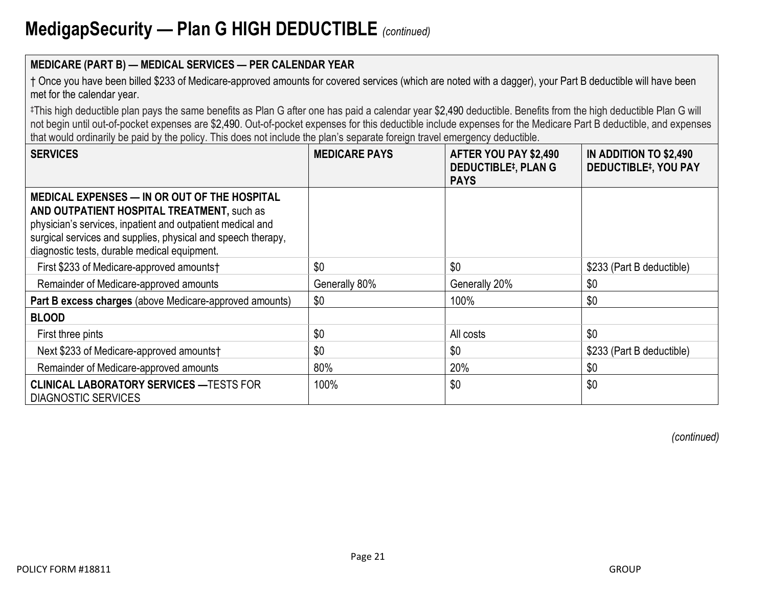## **MedigapSecurity — Plan G HIGH DEDUCTIBLE** *(continued)*

#### **MEDICARE (PART B) — MEDICAL SERVICES — PER CALENDAR YEAR**

† Once you have been billed \$233 of Medicare-approved amounts for covered services (which are noted with a dagger), your Part B deductible will have been met for the calendar year.

‡This high deductible plan pays the same benefits as Plan G after one has paid a calendar year \$2,490 deductible. Benefits from the high deductible Plan G will not begin until out-of-pocket expenses are \$2,490. Out-of-pocket expenses for this deductible include expenses for the Medicare Part B deductible, and expenses that would ordinarily be paid by the policy. This does not include the plan's separate foreign travel emergency deductible.

| <b>SERVICES</b>                                                                                                                                                                                                                                                          | <b>MEDICARE PAYS</b> | AFTER YOU PAY \$2,490<br><b>DEDUCTIBLE#, PLAN G</b><br><b>PAYS</b> | IN ADDITION TO \$2,490<br><b>DEDUCTIBLE#, YOU PAY</b> |
|--------------------------------------------------------------------------------------------------------------------------------------------------------------------------------------------------------------------------------------------------------------------------|----------------------|--------------------------------------------------------------------|-------------------------------------------------------|
| MEDICAL EXPENSES — IN OR OUT OF THE HOSPITAL<br>AND OUTPATIENT HOSPITAL TREATMENT, such as<br>physician's services, inpatient and outpatient medical and<br>surgical services and supplies, physical and speech therapy,<br>diagnostic tests, durable medical equipment. |                      |                                                                    |                                                       |
| First \$233 of Medicare-approved amounts†                                                                                                                                                                                                                                | \$0                  | \$0                                                                | \$233 (Part B deductible)                             |
| Remainder of Medicare-approved amounts                                                                                                                                                                                                                                   | Generally 80%        | Generally 20%                                                      | \$0                                                   |
| Part B excess charges (above Medicare-approved amounts)                                                                                                                                                                                                                  | \$0                  | 100%                                                               | \$0                                                   |
| <b>BLOOD</b>                                                                                                                                                                                                                                                             |                      |                                                                    |                                                       |
| First three pints                                                                                                                                                                                                                                                        | \$0                  | All costs                                                          | \$0                                                   |
| Next \$233 of Medicare-approved amounts†                                                                                                                                                                                                                                 | \$0                  | \$0                                                                | \$233 (Part B deductible)                             |
| Remainder of Medicare-approved amounts                                                                                                                                                                                                                                   | 80%                  | 20%                                                                | \$0                                                   |
| <b>CLINICAL LABORATORY SERVICES - TESTS FOR</b><br><b>DIAGNOSTIC SERVICES</b>                                                                                                                                                                                            | 100%                 | \$0                                                                | \$0                                                   |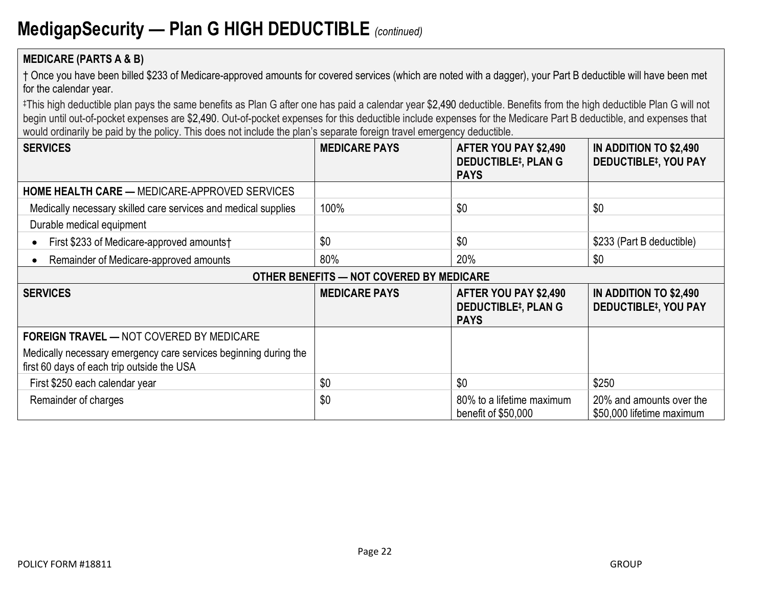# **MedigapSecurity — Plan G HIGH DEDUCTIBLE** *(continued)*

### **MEDICARE (PARTS A & B)**

† Once you have been billed \$233 of Medicare-approved amounts for covered services (which are noted with a dagger), your Part B deductible will have been met for the calendar year.

‡This high deductible plan pays the same benefits as Plan G after one has paid a calendar year \$2,490 deductible. Benefits from the high deductible Plan G will not begin until out-of-pocket expenses are \$2,490. Out-of-pocket expenses for this deductible include expenses for the Medicare Part B deductible, and expenses that would ordinarily be paid by the policy. This does not include the plan's separate foreign travel emergency deductible.

| <b>SERVICES</b>                                                                                                | <b>MEDICARE PAYS</b>                     | AFTER YOU PAY \$2,490<br><b>DEDUCTIBLE#, PLAN G</b><br><b>PAYS</b> | IN ADDITION TO \$2,490<br><b>DEDUCTIBLE#, YOU PAY</b> |
|----------------------------------------------------------------------------------------------------------------|------------------------------------------|--------------------------------------------------------------------|-------------------------------------------------------|
| <b>HOME HEALTH CARE — MEDICARE-APPROVED SERVICES</b>                                                           |                                          |                                                                    |                                                       |
| Medically necessary skilled care services and medical supplies                                                 | 100%                                     | \$0                                                                | \$0                                                   |
| Durable medical equipment                                                                                      |                                          |                                                                    |                                                       |
| First \$233 of Medicare-approved amounts†                                                                      | \$0                                      | \$0                                                                | \$233 (Part B deductible)                             |
| Remainder of Medicare-approved amounts                                                                         | 80%                                      | 20%                                                                | \$0                                                   |
|                                                                                                                | OTHER BENEFITS - NOT COVERED BY MEDICARE |                                                                    |                                                       |
| <b>SERVICES</b>                                                                                                | <b>MEDICARE PAYS</b>                     | AFTER YOU PAY \$2,490<br><b>DEDUCTIBLE#, PLAN G</b><br><b>PAYS</b> | IN ADDITION TO \$2,490<br><b>DEDUCTIBLE#, YOU PAY</b> |
| <b>FOREIGN TRAVEL — NOT COVERED BY MEDICARE</b>                                                                |                                          |                                                                    |                                                       |
| Medically necessary emergency care services beginning during the<br>first 60 days of each trip outside the USA |                                          |                                                                    |                                                       |
| First \$250 each calendar year                                                                                 | \$0                                      | \$0                                                                | \$250                                                 |
| Remainder of charges                                                                                           | \$0                                      | 80% to a lifetime maximum<br>benefit of \$50,000                   | 20% and amounts over the<br>\$50,000 lifetime maximum |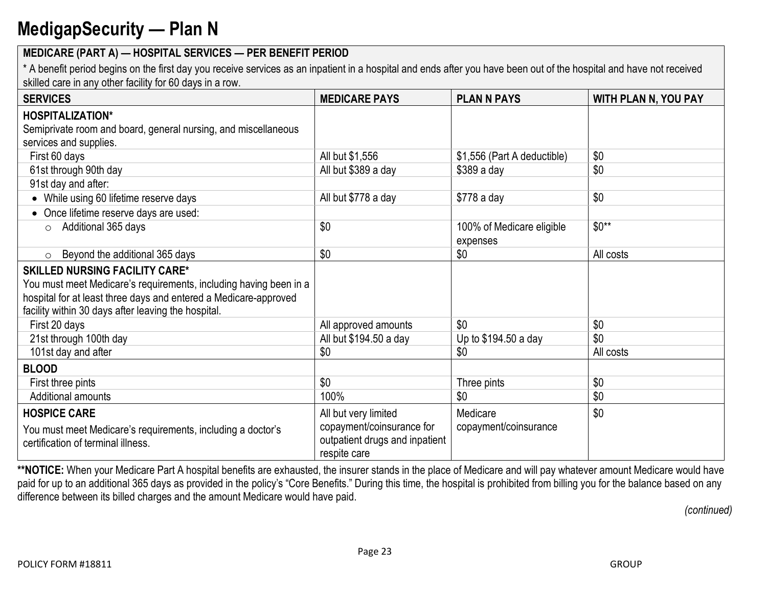## **MedigapSecurity — Plan N**

### **MEDICARE (PART A) — HOSPITAL SERVICES — PER BENEFIT PERIOD**

\* A benefit period begins on the first day you receive services as an inpatient in a hospital and ends after you have been out of the hospital and have not received skilled care in any other facility for 60 days in a row.

| <b>SERVICES</b>                                                   | <b>MEDICARE PAYS</b>           | <b>PLAN N PAYS</b>                    | WITH PLAN N, YOU PAY |
|-------------------------------------------------------------------|--------------------------------|---------------------------------------|----------------------|
| <b>HOSPITALIZATION*</b>                                           |                                |                                       |                      |
| Semiprivate room and board, general nursing, and miscellaneous    |                                |                                       |                      |
| services and supplies.                                            |                                |                                       |                      |
| First 60 days                                                     | All but \$1,556                | \$1,556 (Part A deductible)           | \$0                  |
| 61st through 90th day                                             | All but \$389 a day            | \$389 a day                           | \$0                  |
| 91st day and after:                                               |                                |                                       |                      |
| • While using 60 lifetime reserve days                            | All but \$778 a day            | $$778$ a day                          | \$0                  |
| • Once lifetime reserve days are used:                            |                                |                                       |                      |
| Additional 365 days<br>$\circ$                                    | \$0                            | 100% of Medicare eligible<br>expenses | $$0**$               |
| Beyond the additional 365 days<br>$\circ$                         | \$0                            | \$0                                   | All costs            |
| <b>SKILLED NURSING FACILITY CARE*</b>                             |                                |                                       |                      |
| You must meet Medicare's requirements, including having been in a |                                |                                       |                      |
| hospital for at least three days and entered a Medicare-approved  |                                |                                       |                      |
| facility within 30 days after leaving the hospital.               |                                |                                       |                      |
| First 20 days                                                     | All approved amounts           | \$0                                   | \$0                  |
| 21st through 100th day                                            | All but \$194.50 a day         | Up to \$194.50 a day                  | \$0                  |
| 101st day and after                                               | \$0                            | \$0                                   | All costs            |
| <b>BLOOD</b>                                                      |                                |                                       |                      |
| First three pints                                                 | \$0                            | Three pints                           | \$0                  |
| Additional amounts                                                | 100%                           | \$0                                   | \$0                  |
| <b>HOSPICE CARE</b>                                               | All but very limited           | Medicare                              | \$0                  |
| You must meet Medicare's requirements, including a doctor's       | copayment/coinsurance for      | copayment/coinsurance                 |                      |
| certification of terminal illness.                                | outpatient drugs and inpatient |                                       |                      |
|                                                                   | respite care                   |                                       |                      |

\*\*NOTICE: When your Medicare Part A hospital benefits are exhausted, the insurer stands in the place of Medicare and will pay whatever amount Medicare would have paid for up to an additional 365 days as provided in the policy's "Core Benefits." During this time, the hospital is prohibited from billing you for the balance based on any difference between its billed charges and the amount Medicare would have paid.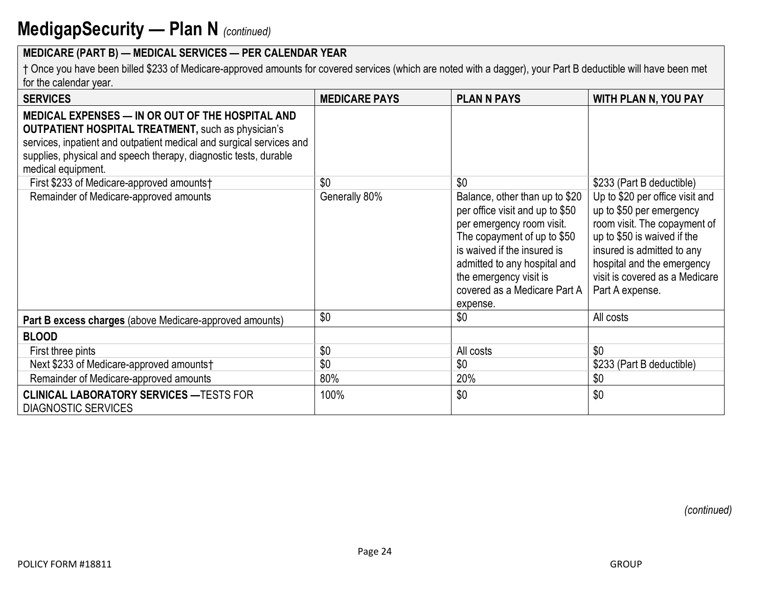## **MedigapSecurity — Plan N** *(continued)*

## **MEDICARE (PART B) — MEDICAL SERVICES — PER CALENDAR YEAR**

† Once you have been billed \$233 of Medicare-approved amounts for covered services (which are noted with a dagger), your Part B deductible will have been met for the calendar year.

| <b>SERVICES</b>                                                                                                                                                                                                                                                                 | <b>MEDICARE PAYS</b> | <b>PLAN N PAYS</b>                                                                                                                                                                                                                                                 | <b>WITH PLAN N, YOU PAY</b>                                                                                                                                                                                                                 |
|---------------------------------------------------------------------------------------------------------------------------------------------------------------------------------------------------------------------------------------------------------------------------------|----------------------|--------------------------------------------------------------------------------------------------------------------------------------------------------------------------------------------------------------------------------------------------------------------|---------------------------------------------------------------------------------------------------------------------------------------------------------------------------------------------------------------------------------------------|
| MEDICAL EXPENSES — IN OR OUT OF THE HOSPITAL AND<br><b>OUTPATIENT HOSPITAL TREATMENT, such as physician's</b><br>services, inpatient and outpatient medical and surgical services and<br>supplies, physical and speech therapy, diagnostic tests, durable<br>medical equipment. |                      |                                                                                                                                                                                                                                                                    |                                                                                                                                                                                                                                             |
| First \$233 of Medicare-approved amounts†                                                                                                                                                                                                                                       | \$0                  | \$0                                                                                                                                                                                                                                                                | \$233 (Part B deductible)                                                                                                                                                                                                                   |
| Remainder of Medicare-approved amounts                                                                                                                                                                                                                                          | Generally 80%        | Balance, other than up to \$20<br>per office visit and up to \$50<br>per emergency room visit.<br>The copayment of up to \$50<br>is waived if the insured is<br>admitted to any hospital and<br>the emergency visit is<br>covered as a Medicare Part A<br>expense. | Up to \$20 per office visit and<br>up to \$50 per emergency<br>room visit. The copayment of<br>up to \$50 is waived if the<br>insured is admitted to any<br>hospital and the emergency<br>visit is covered as a Medicare<br>Part A expense. |
| Part B excess charges (above Medicare-approved amounts)                                                                                                                                                                                                                         | \$0                  | \$0                                                                                                                                                                                                                                                                | All costs                                                                                                                                                                                                                                   |
| <b>BLOOD</b>                                                                                                                                                                                                                                                                    |                      |                                                                                                                                                                                                                                                                    |                                                                                                                                                                                                                                             |
| First three pints                                                                                                                                                                                                                                                               | \$0                  | All costs                                                                                                                                                                                                                                                          | \$0                                                                                                                                                                                                                                         |
| Next \$233 of Medicare-approved amounts†                                                                                                                                                                                                                                        | \$0                  | \$0                                                                                                                                                                                                                                                                | \$233 (Part B deductible)                                                                                                                                                                                                                   |
| Remainder of Medicare-approved amounts                                                                                                                                                                                                                                          | 80%                  | 20%                                                                                                                                                                                                                                                                | \$0                                                                                                                                                                                                                                         |
| <b>CLINICAL LABORATORY SERVICES — TESTS FOR</b><br><b>DIAGNOSTIC SERVICES</b>                                                                                                                                                                                                   | 100%                 | \$0                                                                                                                                                                                                                                                                | \$0                                                                                                                                                                                                                                         |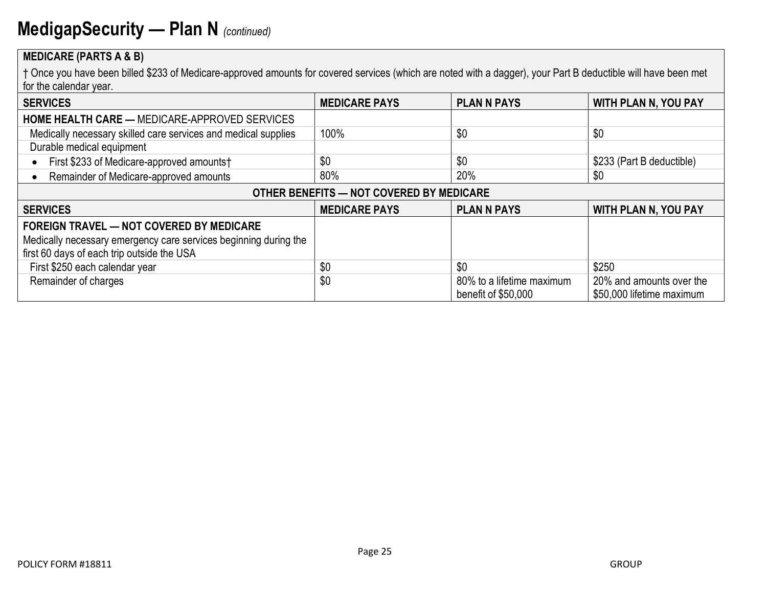## **MedigapSecurity — Plan N** *(continued)*

## **MEDICARE (PARTS A & B)**

| <b>SERVICES</b>                                                  | <b>MEDICARE PAYS</b>                     | <b>PLAN N PAYS</b>        | <b>WITH PLAN N, YOU PAY</b> |  |  |
|------------------------------------------------------------------|------------------------------------------|---------------------------|-----------------------------|--|--|
| <b>HOME HEALTH CARE — MEDICARE-APPROVED SERVICES</b>             |                                          |                           |                             |  |  |
| Medically necessary skilled care services and medical supplies   | 100%                                     | \$0                       | \$0                         |  |  |
| Durable medical equipment                                        |                                          |                           |                             |  |  |
| First \$233 of Medicare-approved amounts†                        | \$0                                      | \$0                       | \$233 (Part B deductible)   |  |  |
| Remainder of Medicare-approved amounts<br>$\bullet$              | 80%                                      | 20%                       | \$0                         |  |  |
|                                                                  | OTHER BENEFITS - NOT COVERED BY MEDICARE |                           |                             |  |  |
| <b>SERVICES</b>                                                  | <b>MEDICARE PAYS</b>                     | <b>PLAN N PAYS</b>        | <b>WITH PLAN N, YOU PAY</b> |  |  |
| <b>FOREIGN TRAVEL — NOT COVERED BY MEDICARE</b>                  |                                          |                           |                             |  |  |
| Medically necessary emergency care services beginning during the |                                          |                           |                             |  |  |
| first 60 days of each trip outside the USA                       |                                          |                           |                             |  |  |
| First \$250 each calendar year                                   | \$0                                      | \$0                       | \$250                       |  |  |
| Remainder of charges                                             | \$0                                      | 80% to a lifetime maximum | 20% and amounts over the    |  |  |
|                                                                  |                                          | benefit of \$50,000       | \$50,000 lifetime maximum   |  |  |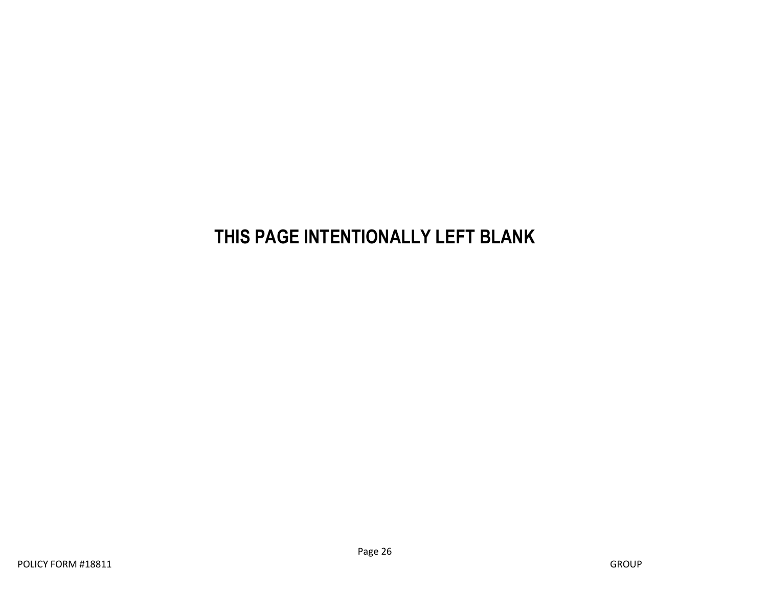## **THIS PAGE INTENTIONALLY LEFT BLANK**